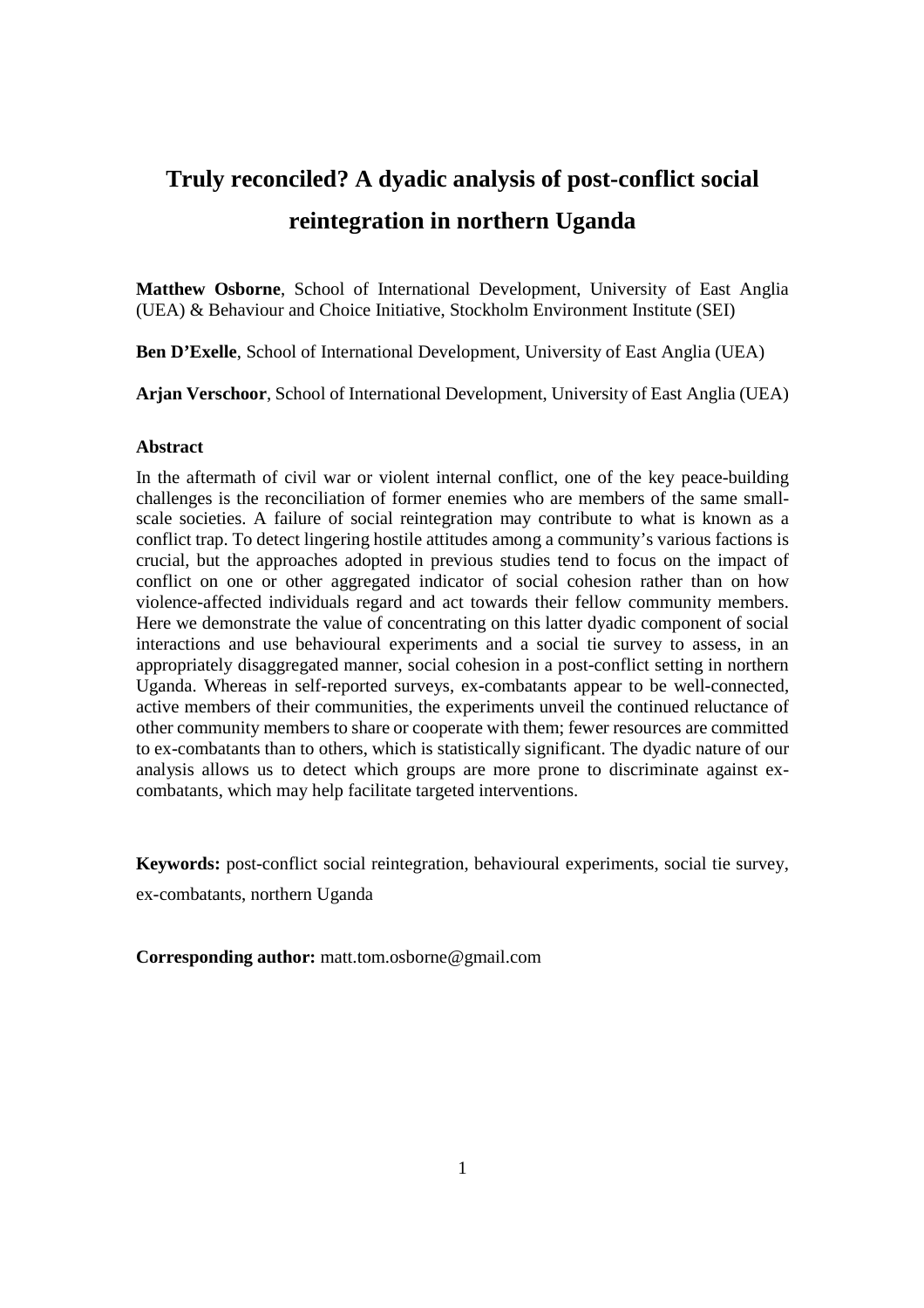# **Truly reconciled? A dyadic analysis of post-conflict social reintegration in northern Uganda**

**Matthew Osborne**, School of International Development, University of East Anglia (UEA) & Behaviour and Choice Initiative, Stockholm Environment Institute (SEI)

**Ben D'Exelle**, School of International Development, University of East Anglia (UEA)

**Arjan Verschoor**, School of International Development, University of East Anglia (UEA)

#### **Abstract**

In the aftermath of civil war or violent internal conflict, one of the key peace-building challenges is the reconciliation of former enemies who are members of the same smallscale societies. A failure of social reintegration may contribute to what is known as a conflict trap. To detect lingering hostile attitudes among a community's various factions is crucial, but the approaches adopted in previous studies tend to focus on the impact of conflict on one or other aggregated indicator of social cohesion rather than on how violence-affected individuals regard and act towards their fellow community members. Here we demonstrate the value of concentrating on this latter dyadic component of social interactions and use behavioural experiments and a social tie survey to assess, in an appropriately disaggregated manner, social cohesion in a post-conflict setting in northern Uganda. Whereas in self-reported surveys, ex-combatants appear to be well-connected, active members of their communities, the experiments unveil the continued reluctance of other community members to share or cooperate with them; fewer resources are committed to ex-combatants than to others, which is statistically significant. The dyadic nature of our analysis allows us to detect which groups are more prone to discriminate against excombatants, which may help facilitate targeted interventions.

**Keywords:** post-conflict social reintegration, behavioural experiments, social tie survey,

ex-combatants, northern Uganda

**Corresponding author:** matt.tom.osborne@gmail.com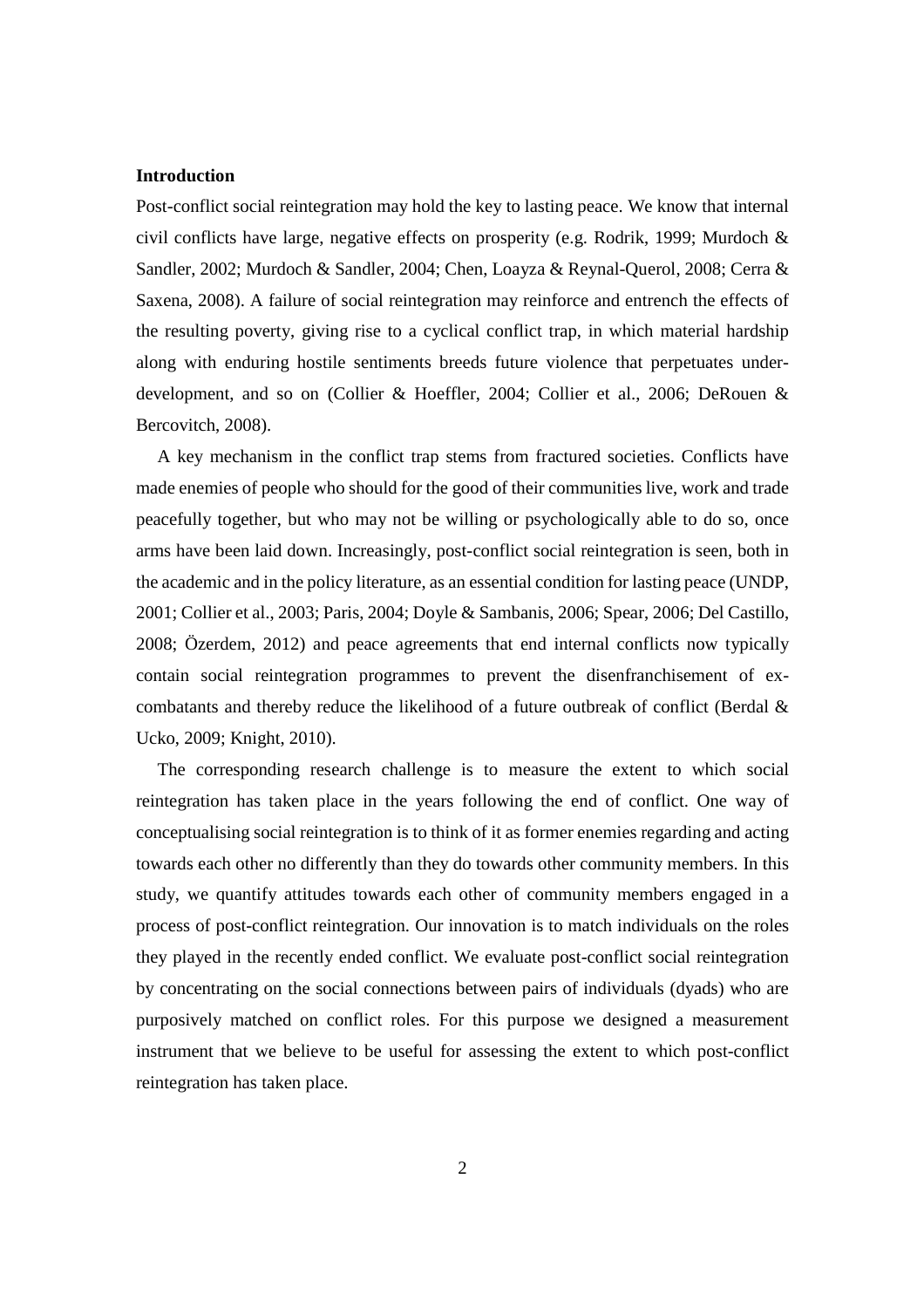#### **Introduction**

Post-conflict social reintegration may hold the key to lasting peace. We know that internal civil conflicts have large, negative effects on prosperity (e.g. Rodrik, 1999; Murdoch & Sandler, 2002; Murdoch & Sandler, 2004; Chen, Loayza & Reynal-Querol, 2008; Cerra & Saxena, 2008). A failure of social reintegration may reinforce and entrench the effects of the resulting poverty, giving rise to a cyclical conflict trap, in which material hardship along with enduring hostile sentiments breeds future violence that perpetuates underdevelopment, and so on (Collier & Hoeffler, 2004; Collier et al., 2006; DeRouen & Bercovitch, 2008).

A key mechanism in the conflict trap stems from fractured societies. Conflicts have made enemies of people who should for the good of their communities live, work and trade peacefully together, but who may not be willing or psychologically able to do so, once arms have been laid down. Increasingly, post-conflict social reintegration is seen, both in the academic and in the policy literature, as an essential condition for lasting peace (UNDP, 2001; Collier et al., 2003; Paris, 2004; Doyle & Sambanis, 2006; Spear, 2006; Del Castillo, 2008; Özerdem, 2012) and peace agreements that end internal conflicts now typically contain social reintegration programmes to prevent the disenfranchisement of excombatants and thereby reduce the likelihood of a future outbreak of conflict (Berdal & Ucko, 2009; Knight, 2010).

The corresponding research challenge is to measure the extent to which social reintegration has taken place in the years following the end of conflict. One way of conceptualising social reintegration is to think of it as former enemies regarding and acting towards each other no differently than they do towards other community members. In this study, we quantify attitudes towards each other of community members engaged in a process of post-conflict reintegration. Our innovation is to match individuals on the roles they played in the recently ended conflict. We evaluate post-conflict social reintegration by concentrating on the social connections between pairs of individuals (dyads) who are purposively matched on conflict roles. For this purpose we designed a measurement instrument that we believe to be useful for assessing the extent to which post-conflict reintegration has taken place.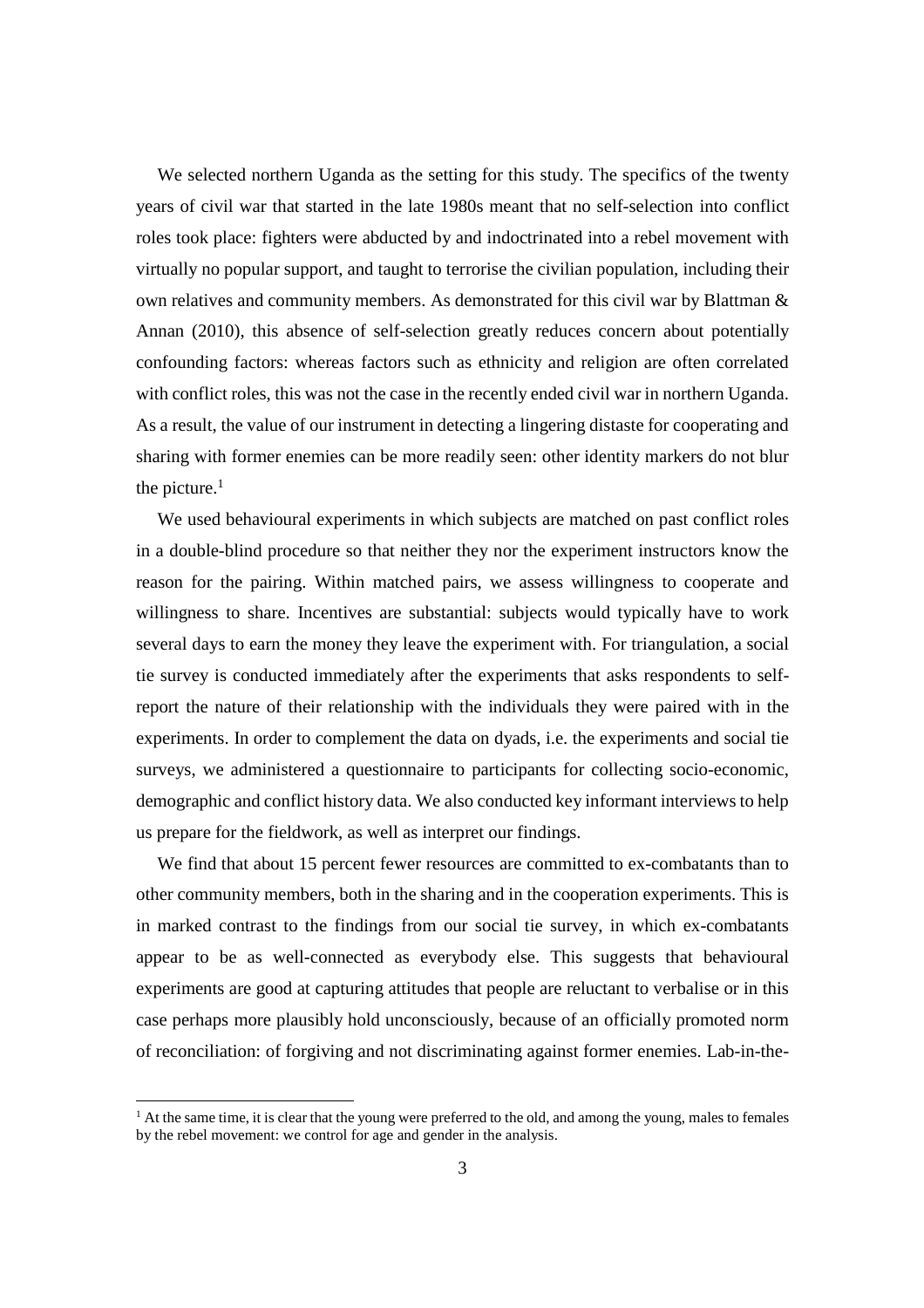We selected northern Uganda as the setting for this study. The specifics of the twenty years of civil war that started in the late 1980s meant that no self-selection into conflict roles took place: fighters were abducted by and indoctrinated into a rebel movement with virtually no popular support, and taught to terrorise the civilian population, including their own relatives and community members. As demonstrated for this civil war by Blattman & Annan (2010), this absence of self-selection greatly reduces concern about potentially confounding factors: whereas factors such as ethnicity and religion are often correlated with conflict roles, this was not the case in the recently ended civil war in northern Uganda. As a result, the value of our instrument in detecting a lingering distaste for cooperating and sharing with former enemies can be more readily seen: other identity markers do not blur the picture. $<sup>1</sup>$ </sup>

We used behavioural experiments in which subjects are matched on past conflict roles in a double-blind procedure so that neither they nor the experiment instructors know the reason for the pairing. Within matched pairs, we assess willingness to cooperate and willingness to share. Incentives are substantial: subjects would typically have to work several days to earn the money they leave the experiment with. For triangulation, a social tie survey is conducted immediately after the experiments that asks respondents to selfreport the nature of their relationship with the individuals they were paired with in the experiments. In order to complement the data on dyads, i.e. the experiments and social tie surveys, we administered a questionnaire to participants for collecting socio-economic, demographic and conflict history data. We also conducted key informant interviews to help us prepare for the fieldwork, as well as interpret our findings.

We find that about 15 percent fewer resources are committed to ex-combatants than to other community members, both in the sharing and in the cooperation experiments. This is in marked contrast to the findings from our social tie survey, in which ex-combatants appear to be as well-connected as everybody else. This suggests that behavioural experiments are good at capturing attitudes that people are reluctant to verbalise or in this case perhaps more plausibly hold unconsciously, because of an officially promoted norm of reconciliation: of forgiving and not discriminating against former enemies. Lab-in-the-

<u>.</u>

<sup>&</sup>lt;sup>1</sup> At the same time, it is clear that the young were preferred to the old, and among the young, males to females by the rebel movement: we control for age and gender in the analysis.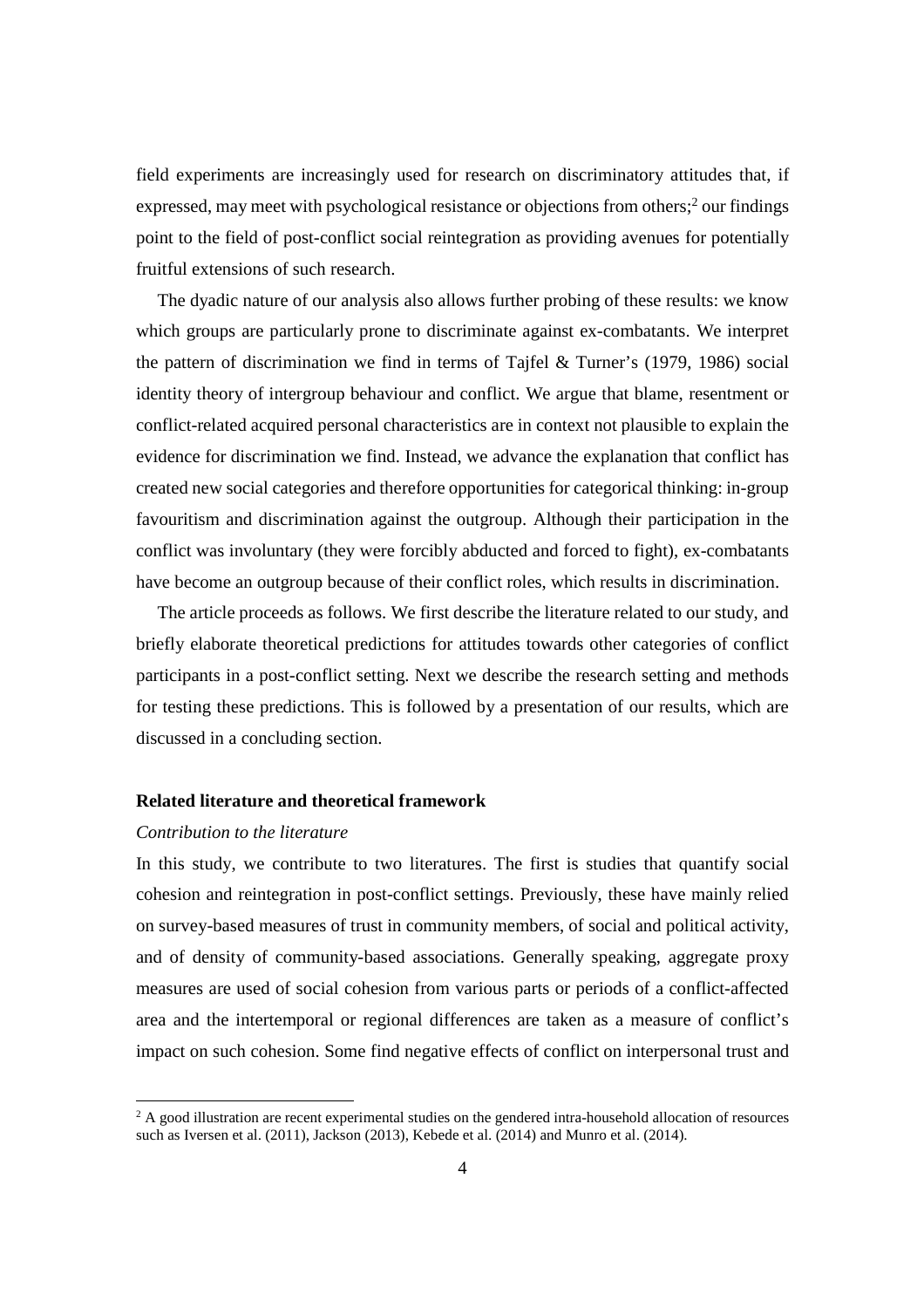field experiments are increasingly used for research on discriminatory attitudes that, if expressed, may meet with psychological resistance or objections from others;<sup>2</sup> our findings point to the field of post-conflict social reintegration as providing avenues for potentially fruitful extensions of such research.

The dyadic nature of our analysis also allows further probing of these results: we know which groups are particularly prone to discriminate against ex-combatants. We interpret the pattern of discrimination we find in terms of Tajfel & Turner's (1979, 1986) social identity theory of intergroup behaviour and conflict. We argue that blame, resentment or conflict-related acquired personal characteristics are in context not plausible to explain the evidence for discrimination we find. Instead, we advance the explanation that conflict has created new social categories and therefore opportunities for categorical thinking: in-group favouritism and discrimination against the outgroup. Although their participation in the conflict was involuntary (they were forcibly abducted and forced to fight), ex-combatants have become an outgroup because of their conflict roles, which results in discrimination.

The article proceeds as follows. We first describe the literature related to our study, and briefly elaborate theoretical predictions for attitudes towards other categories of conflict participants in a post-conflict setting. Next we describe the research setting and methods for testing these predictions. This is followed by a presentation of our results, which are discussed in a concluding section.

#### **Related literature and theoretical framework**

#### *Contribution to the literature*

In this study, we contribute to two literatures. The first is studies that quantify social cohesion and reintegration in post-conflict settings. Previously, these have mainly relied on survey-based measures of trust in community members, of social and political activity, and of density of community-based associations. Generally speaking, aggregate proxy measures are used of social cohesion from various parts or periods of a conflict-affected area and the intertemporal or regional differences are taken as a measure of conflict's impact on such cohesion. Some find negative effects of conflict on interpersonal trust and

 2 A good illustration are recent experimental studies on the gendered intra-household allocation of resources such as Iversen et al. (2011), Jackson (2013), Kebede et al. (2014) and Munro et al. (2014).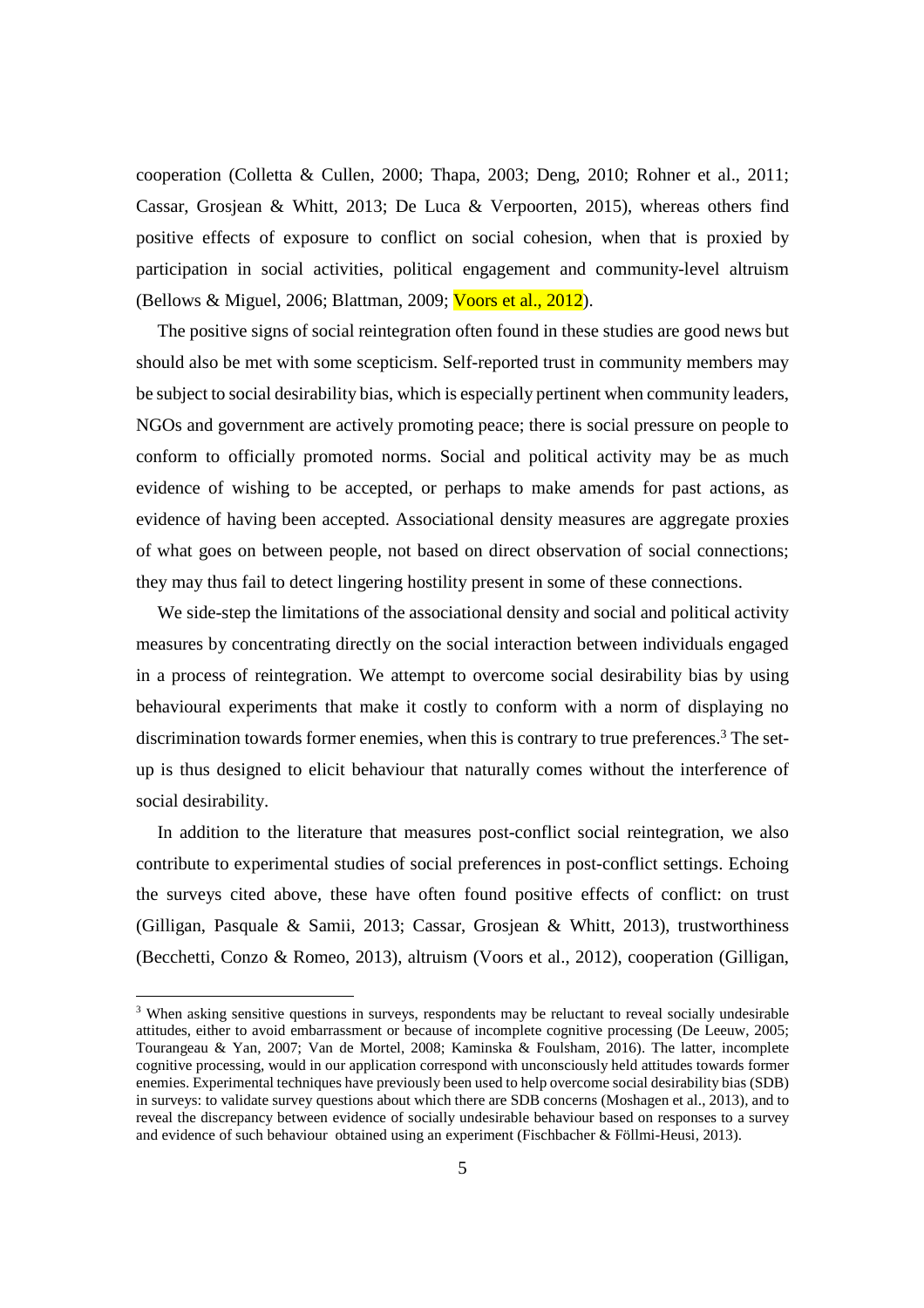cooperation (Colletta & Cullen, 2000; Thapa, 2003; Deng, 2010; Rohner et al., 2011; Cassar, Grosjean & Whitt, 2013; De Luca & Verpoorten, 2015), whereas others find positive effects of exposure to conflict on social cohesion, when that is proxied by participation in social activities, political engagement and community-level altruism (Bellows & Miguel, 2006; Blattman, 2009; Voors et al., 2012).

The positive signs of social reintegration often found in these studies are good news but should also be met with some scepticism. Self-reported trust in community members may be subject to social desirability bias, which is especially pertinent when community leaders, NGOs and government are actively promoting peace; there is social pressure on people to conform to officially promoted norms. Social and political activity may be as much evidence of wishing to be accepted, or perhaps to make amends for past actions, as evidence of having been accepted. Associational density measures are aggregate proxies of what goes on between people, not based on direct observation of social connections; they may thus fail to detect lingering hostility present in some of these connections.

We side-step the limitations of the associational density and social and political activity measures by concentrating directly on the social interaction between individuals engaged in a process of reintegration. We attempt to overcome social desirability bias by using behavioural experiments that make it costly to conform with a norm of displaying no discrimination towards former enemies, when this is contrary to true preferences.<sup>3</sup> The setup is thus designed to elicit behaviour that naturally comes without the interference of social desirability.

In addition to the literature that measures post-conflict social reintegration, we also contribute to experimental studies of social preferences in post-conflict settings. Echoing the surveys cited above, these have often found positive effects of conflict: on trust (Gilligan, Pasquale & Samii, 2013; Cassar, Grosjean & Whitt, 2013), trustworthiness (Becchetti, Conzo & Romeo, 2013), altruism (Voors et al., 2012), cooperation (Gilligan,

-

<sup>&</sup>lt;sup>3</sup> When asking sensitive questions in surveys, respondents may be reluctant to reveal socially undesirable attitudes, either to avoid embarrassment or because of incomplete cognitive processing (De Leeuw, 2005; Tourangeau & Yan, 2007; Van de Mortel, 2008; Kaminska & Foulsham, 2016). The latter, incomplete cognitive processing, would in our application correspond with unconsciously held attitudes towards former enemies. Experimental techniques have previously been used to help overcome social desirability bias (SDB) in surveys: to validate survey questions about which there are SDB concerns (Moshagen et al., 2013), and to reveal the discrepancy between evidence of socially undesirable behaviour based on responses to a survey and evidence of such behaviour obtained using an experiment (Fischbacher & Föllmi-Heusi, 2013).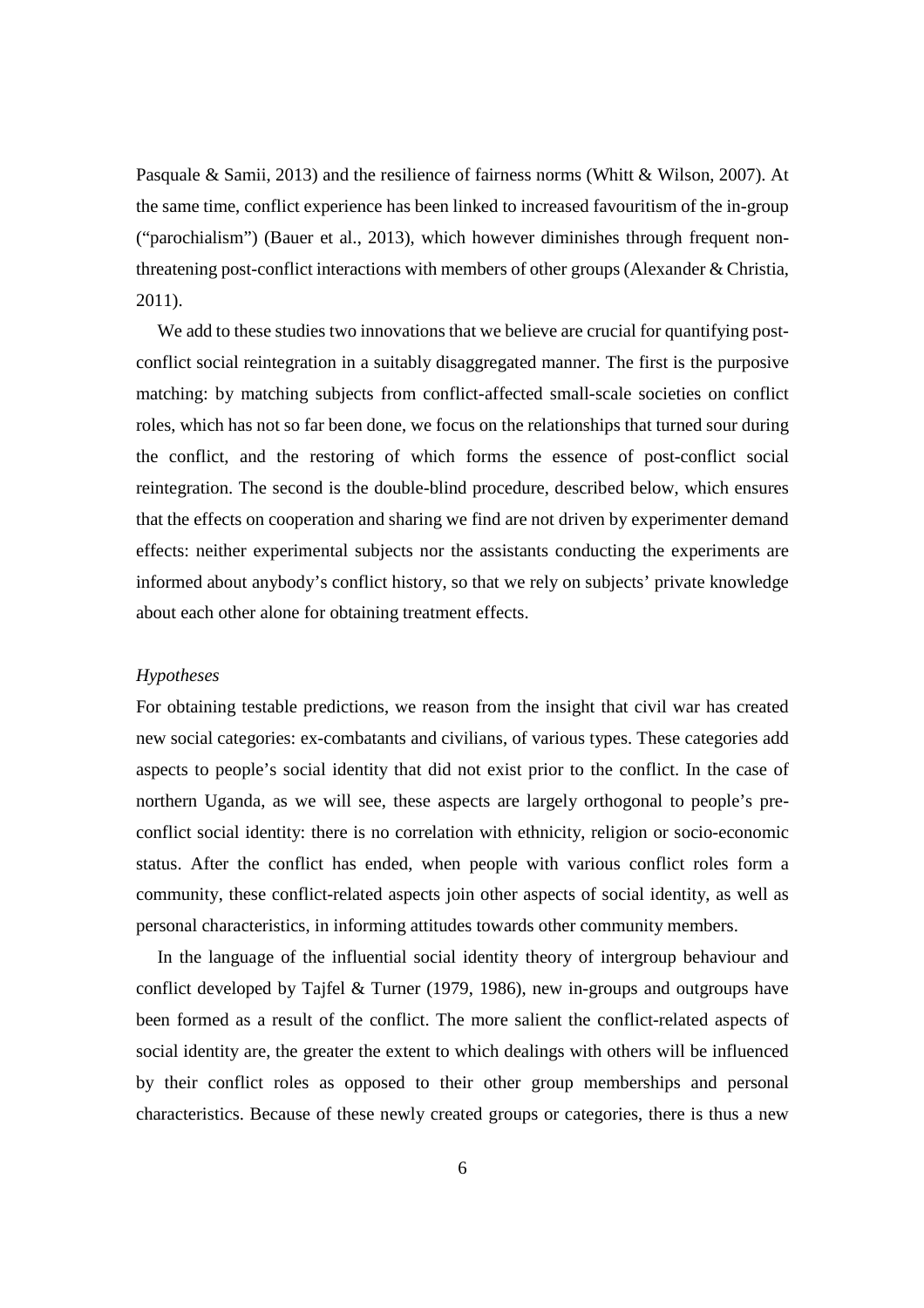Pasquale & Samii, 2013) and the resilience of fairness norms (Whitt & Wilson, 2007). At the same time, conflict experience has been linked to increased favouritism of the in-group ("parochialism") (Bauer et al., 2013), which however diminishes through frequent nonthreatening post-conflict interactions with members of other groups (Alexander & Christia, 2011).

We add to these studies two innovations that we believe are crucial for quantifying postconflict social reintegration in a suitably disaggregated manner. The first is the purposive matching: by matching subjects from conflict-affected small-scale societies on conflict roles, which has not so far been done, we focus on the relationships that turned sour during the conflict, and the restoring of which forms the essence of post-conflict social reintegration. The second is the double-blind procedure, described below, which ensures that the effects on cooperation and sharing we find are not driven by experimenter demand effects: neither experimental subjects nor the assistants conducting the experiments are informed about anybody's conflict history, so that we rely on subjects' private knowledge about each other alone for obtaining treatment effects.

#### *Hypotheses*

For obtaining testable predictions, we reason from the insight that civil war has created new social categories: ex-combatants and civilians, of various types. These categories add aspects to people's social identity that did not exist prior to the conflict. In the case of northern Uganda, as we will see, these aspects are largely orthogonal to people's preconflict social identity: there is no correlation with ethnicity, religion or socio-economic status. After the conflict has ended, when people with various conflict roles form a community, these conflict-related aspects join other aspects of social identity, as well as personal characteristics, in informing attitudes towards other community members.

In the language of the influential social identity theory of intergroup behaviour and conflict developed by Tajfel & Turner (1979, 1986), new in-groups and outgroups have been formed as a result of the conflict. The more salient the conflict-related aspects of social identity are, the greater the extent to which dealings with others will be influenced by their conflict roles as opposed to their other group memberships and personal characteristics. Because of these newly created groups or categories, there is thus a new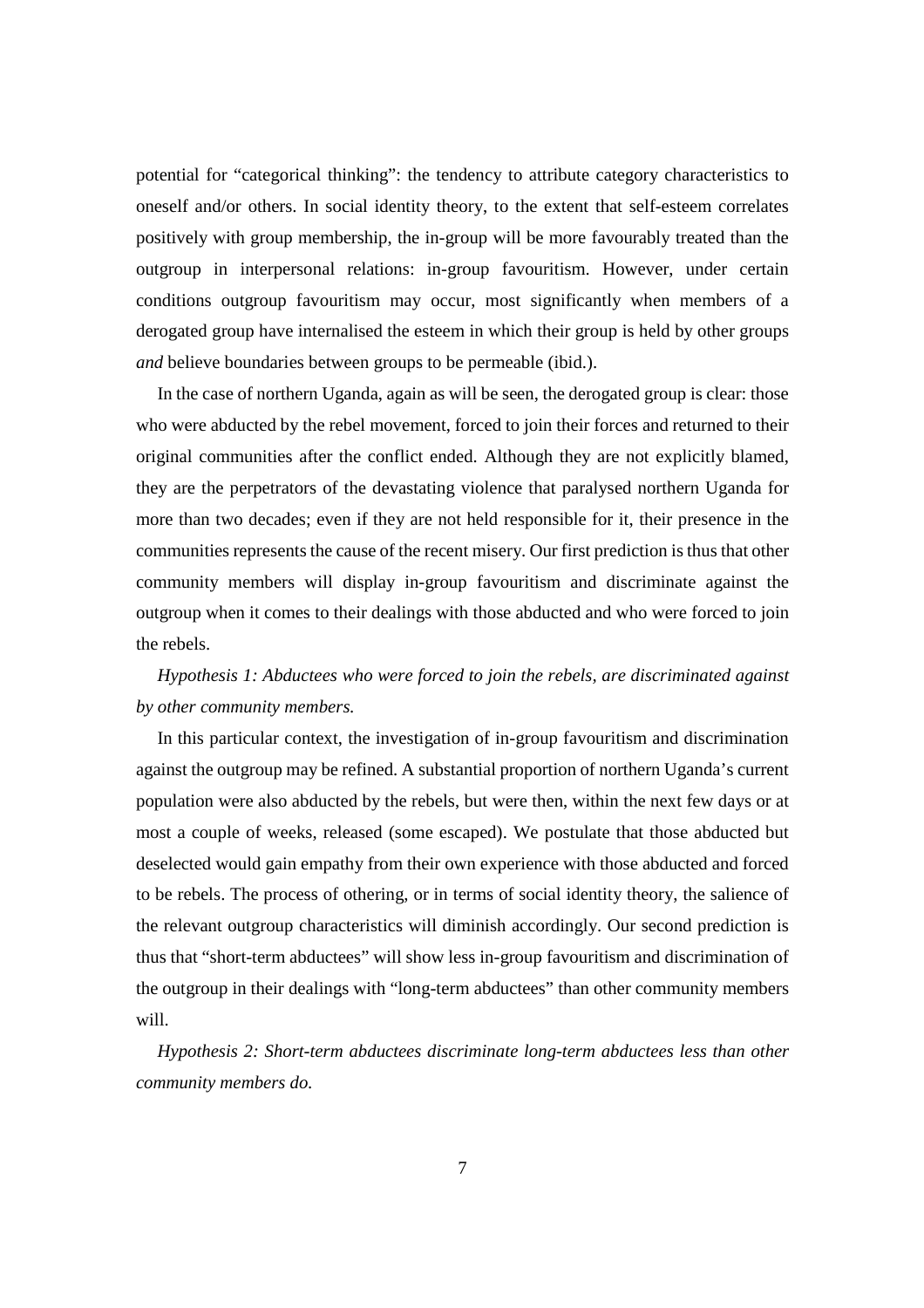potential for "categorical thinking": the tendency to attribute category characteristics to oneself and/or others. In social identity theory, to the extent that self-esteem correlates positively with group membership, the in-group will be more favourably treated than the outgroup in interpersonal relations: in-group favouritism. However, under certain conditions outgroup favouritism may occur, most significantly when members of a derogated group have internalised the esteem in which their group is held by other groups *and* believe boundaries between groups to be permeable (ibid.).

In the case of northern Uganda, again as will be seen, the derogated group is clear: those who were abducted by the rebel movement, forced to join their forces and returned to their original communities after the conflict ended. Although they are not explicitly blamed, they are the perpetrators of the devastating violence that paralysed northern Uganda for more than two decades; even if they are not held responsible for it, their presence in the communities represents the cause of the recent misery. Our first prediction is thus that other community members will display in-group favouritism and discriminate against the outgroup when it comes to their dealings with those abducted and who were forced to join the rebels.

# *Hypothesis 1: Abductees who were forced to join the rebels, are discriminated against by other community members.*

In this particular context, the investigation of in-group favouritism and discrimination against the outgroup may be refined. A substantial proportion of northern Uganda's current population were also abducted by the rebels, but were then, within the next few days or at most a couple of weeks, released (some escaped). We postulate that those abducted but deselected would gain empathy from their own experience with those abducted and forced to be rebels. The process of othering, or in terms of social identity theory, the salience of the relevant outgroup characteristics will diminish accordingly. Our second prediction is thus that "short-term abductees" will show less in-group favouritism and discrimination of the outgroup in their dealings with "long-term abductees" than other community members will.

*Hypothesis 2: Short-term abductees discriminate long-term abductees less than other community members do.*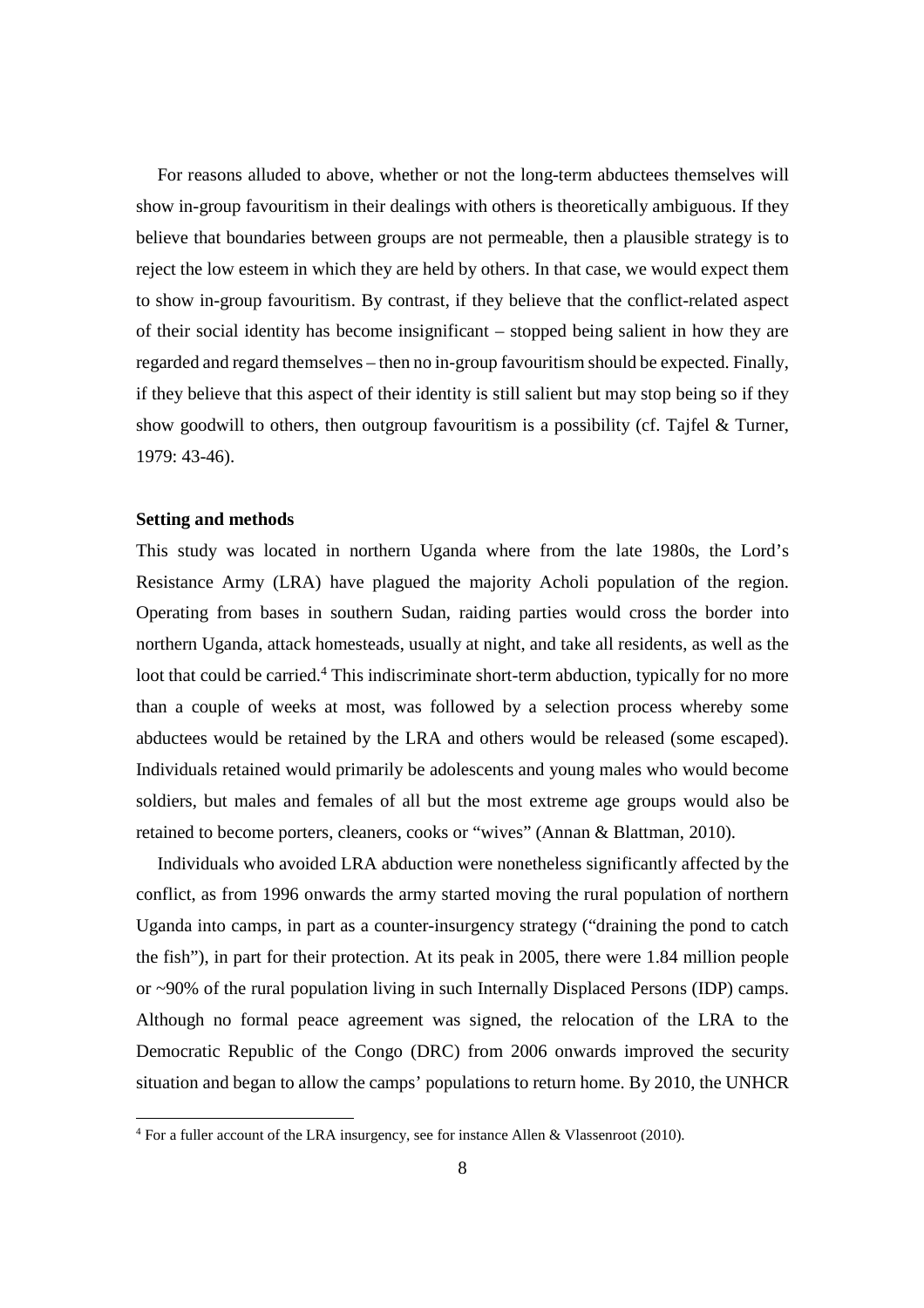For reasons alluded to above, whether or not the long-term abductees themselves will show in-group favouritism in their dealings with others is theoretically ambiguous. If they believe that boundaries between groups are not permeable, then a plausible strategy is to reject the low esteem in which they are held by others. In that case, we would expect them to show in-group favouritism. By contrast, if they believe that the conflict-related aspect of their social identity has become insignificant – stopped being salient in how they are regarded and regard themselves – then no in-group favouritism should be expected. Finally, if they believe that this aspect of their identity is still salient but may stop being so if they show goodwill to others, then outgroup favouritism is a possibility (cf. Tajfel & Turner, 1979: 43-46).

### **Setting and methods**

-

This study was located in northern Uganda where from the late 1980s, the Lord's Resistance Army (LRA) have plagued the majority Acholi population of the region. Operating from bases in southern Sudan, raiding parties would cross the border into northern Uganda, attack homesteads, usually at night, and take all residents, as well as the loot that could be carried.<sup>4</sup> This indiscriminate short-term abduction, typically for no more than a couple of weeks at most, was followed by a selection process whereby some abductees would be retained by the LRA and others would be released (some escaped). Individuals retained would primarily be adolescents and young males who would become soldiers, but males and females of all but the most extreme age groups would also be retained to become porters, cleaners, cooks or "wives" (Annan & Blattman, 2010).

Individuals who avoided LRA abduction were nonetheless significantly affected by the conflict, as from 1996 onwards the army started moving the rural population of northern Uganda into camps, in part as a counter-insurgency strategy ("draining the pond to catch the fish"), in part for their protection. At its peak in 2005, there were 1.84 million people or ~90% of the rural population living in such Internally Displaced Persons (IDP) camps. Although no formal peace agreement was signed, the relocation of the LRA to the Democratic Republic of the Congo (DRC) from 2006 onwards improved the security situation and began to allow the camps' populations to return home. By 2010, the UNHCR

<sup>&</sup>lt;sup>4</sup> For a fuller account of the LRA insurgency, see for instance Allen & Vlassenroot (2010).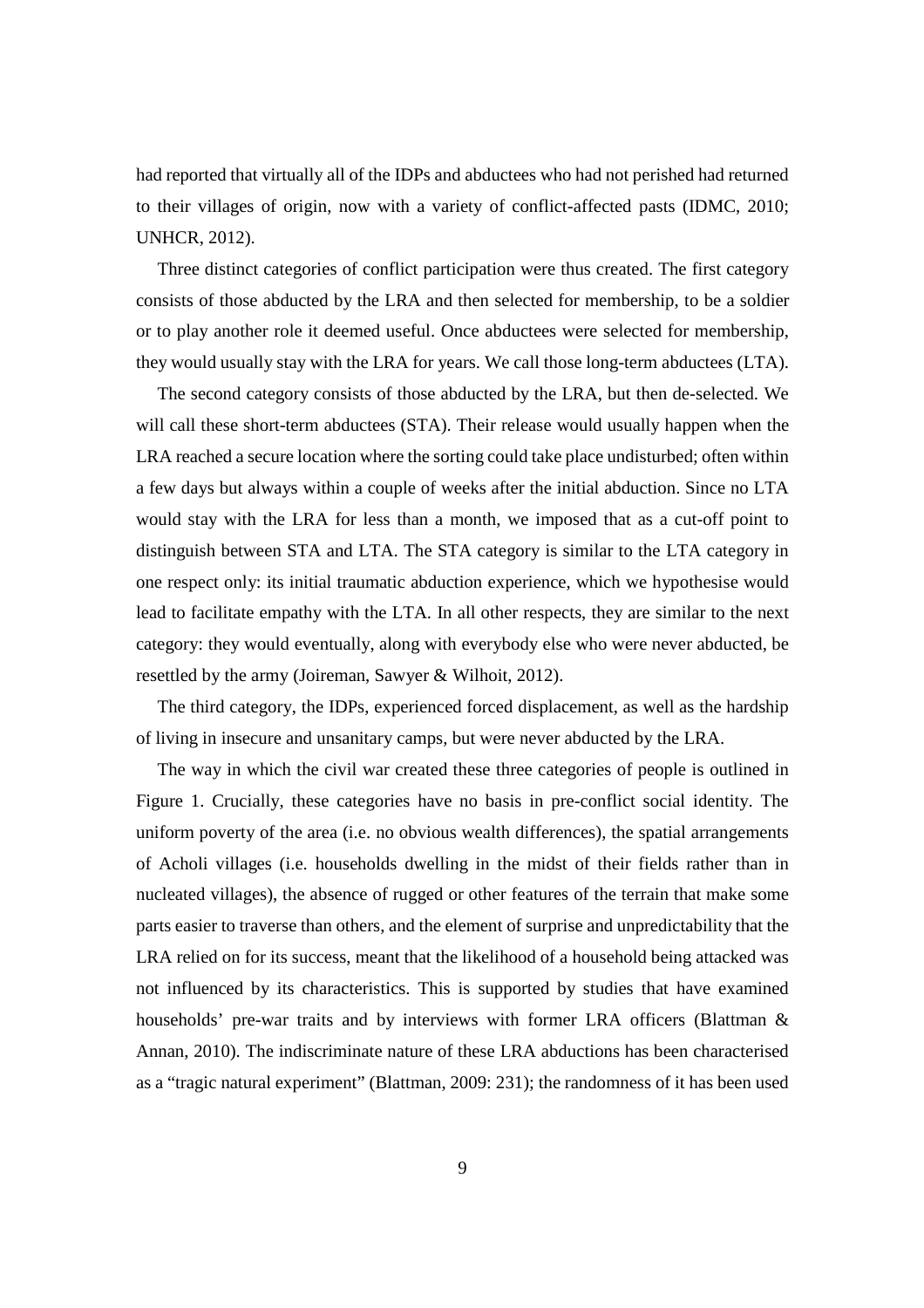had reported that virtually all of the IDPs and abductees who had not perished had returned to their villages of origin, now with a variety of conflict-affected pasts (IDMC, 2010; UNHCR, 2012).

Three distinct categories of conflict participation were thus created. The first category consists of those abducted by the LRA and then selected for membership, to be a soldier or to play another role it deemed useful. Once abductees were selected for membership, they would usually stay with the LRA for years. We call those long-term abductees (LTA).

The second category consists of those abducted by the LRA, but then de-selected. We will call these short-term abductees (STA). Their release would usually happen when the LRA reached a secure location where the sorting could take place undisturbed; often within a few days but always within a couple of weeks after the initial abduction. Since no LTA would stay with the LRA for less than a month, we imposed that as a cut-off point to distinguish between STA and LTA. The STA category is similar to the LTA category in one respect only: its initial traumatic abduction experience, which we hypothesise would lead to facilitate empathy with the LTA. In all other respects, they are similar to the next category: they would eventually, along with everybody else who were never abducted, be resettled by the army (Joireman, Sawyer & Wilhoit, 2012).

The third category, the IDPs, experienced forced displacement, as well as the hardship of living in insecure and unsanitary camps, but were never abducted by the LRA.

The way in which the civil war created these three categories of people is outlined in Figure 1. Crucially, these categories have no basis in pre-conflict social identity. The uniform poverty of the area (i.e. no obvious wealth differences), the spatial arrangements of Acholi villages (i.e. households dwelling in the midst of their fields rather than in nucleated villages), the absence of rugged or other features of the terrain that make some parts easier to traverse than others, and the element of surprise and unpredictability that the LRA relied on for its success, meant that the likelihood of a household being attacked was not influenced by its characteristics. This is supported by studies that have examined households' pre-war traits and by interviews with former LRA officers (Blattman & Annan, 2010). The indiscriminate nature of these LRA abductions has been characterised as a "tragic natural experiment" (Blattman, 2009: 231); the randomness of it has been used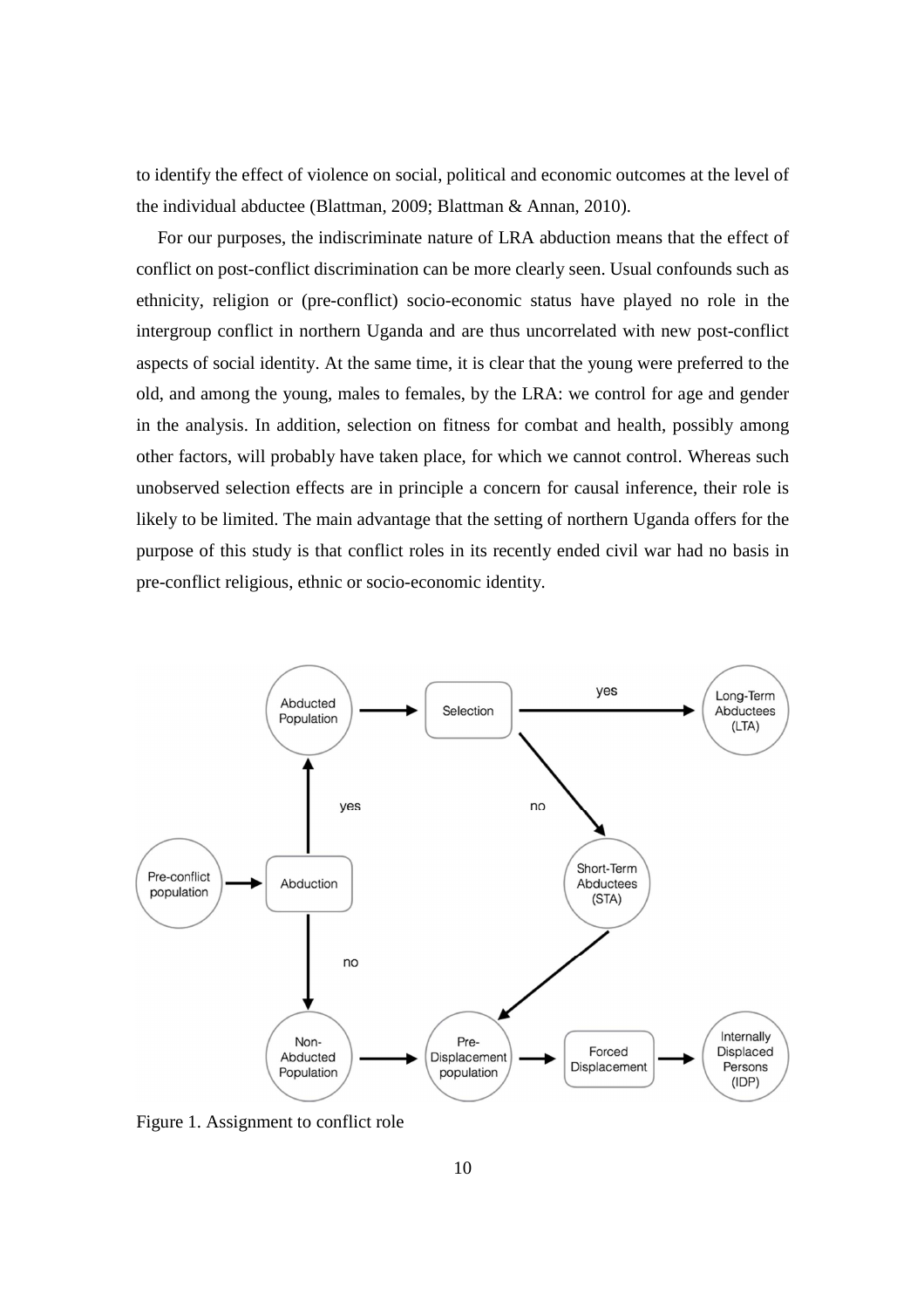to identify the effect of violence on social, political and economic outcomes at the level of the individual abductee (Blattman, 2009; Blattman & Annan, 2010).

For our purposes, the indiscriminate nature of LRA abduction means that the effect of conflict on post-conflict discrimination can be more clearly seen. Usual confounds such as ethnicity, religion or (pre-conflict) socio-economic status have played no role in the intergroup conflict in northern Uganda and are thus uncorrelated with new post-conflict aspects of social identity. At the same time, it is clear that the young were preferred to the old, and among the young, males to females, by the LRA: we control for age and gender in the analysis. In addition, selection on fitness for combat and health, possibly among other factors, will probably have taken place, for which we cannot control. Whereas such unobserved selection effects are in principle a concern for causal inference, their role is likely to be limited. The main advantage that the setting of northern Uganda offers for the purpose of this study is that conflict roles in its recently ended civil war had no basis in pre-conflict religious, ethnic or socio-economic identity.



Figure 1. Assignment to conflict role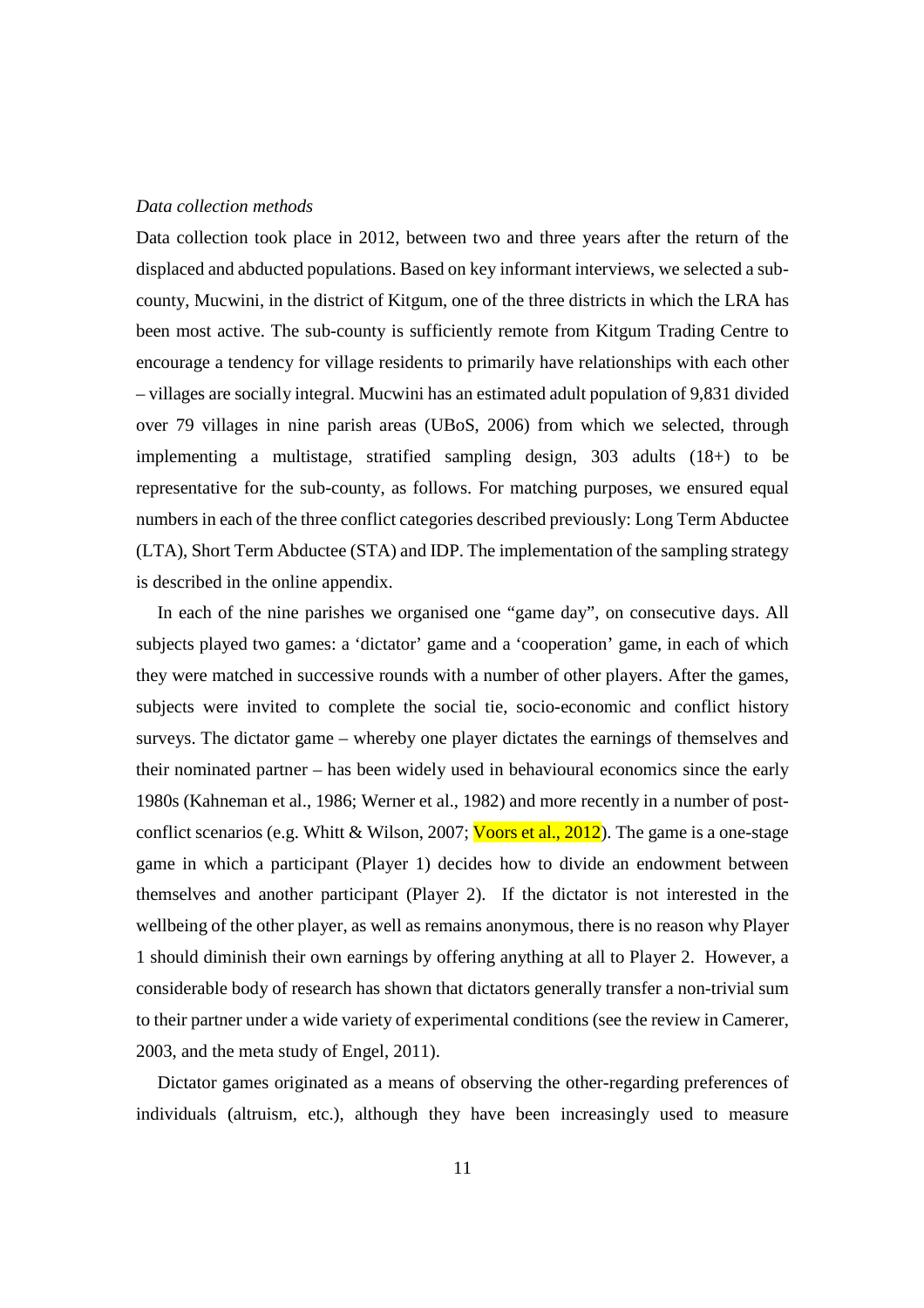#### *Data collection methods*

Data collection took place in 2012, between two and three years after the return of the displaced and abducted populations. Based on key informant interviews, we selected a subcounty, Mucwini, in the district of Kitgum, one of the three districts in which the LRA has been most active. The sub-county is sufficiently remote from Kitgum Trading Centre to encourage a tendency for village residents to primarily have relationships with each other – villages are socially integral. Mucwini has an estimated adult population of 9,831 divided over 79 villages in nine parish areas (UBoS, 2006) from which we selected, through implementing a multistage, stratified sampling design, 303 adults (18+) to be representative for the sub-county, as follows. For matching purposes, we ensured equal numbers in each of the three conflict categories described previously: Long Term Abductee (LTA), Short Term Abductee (STA) and IDP. The implementation of the sampling strategy is described in the online appendix.

In each of the nine parishes we organised one "game day", on consecutive days. All subjects played two games: a 'dictator' game and a 'cooperation' game, in each of which they were matched in successive rounds with a number of other players. After the games, subjects were invited to complete the social tie, socio-economic and conflict history surveys. The dictator game – whereby one player dictates the earnings of themselves and their nominated partner – has been widely used in behavioural economics since the early 1980s (Kahneman et al., 1986; Werner et al., 1982) and more recently in a number of postconflict scenarios (e.g. Whitt & Wilson, 2007; Voors et al., 2012). The game is a one-stage game in which a participant (Player 1) decides how to divide an endowment between themselves and another participant (Player 2). If the dictator is not interested in the wellbeing of the other player, as well as remains anonymous, there is no reason why Player 1 should diminish their own earnings by offering anything at all to Player 2. However, a considerable body of research has shown that dictators generally transfer a non-trivial sum to their partner under a wide variety of experimental conditions (see the review in Camerer, 2003, and the meta study of Engel, 2011).

Dictator games originated as a means of observing the other-regarding preferences of individuals (altruism, etc.), although they have been increasingly used to measure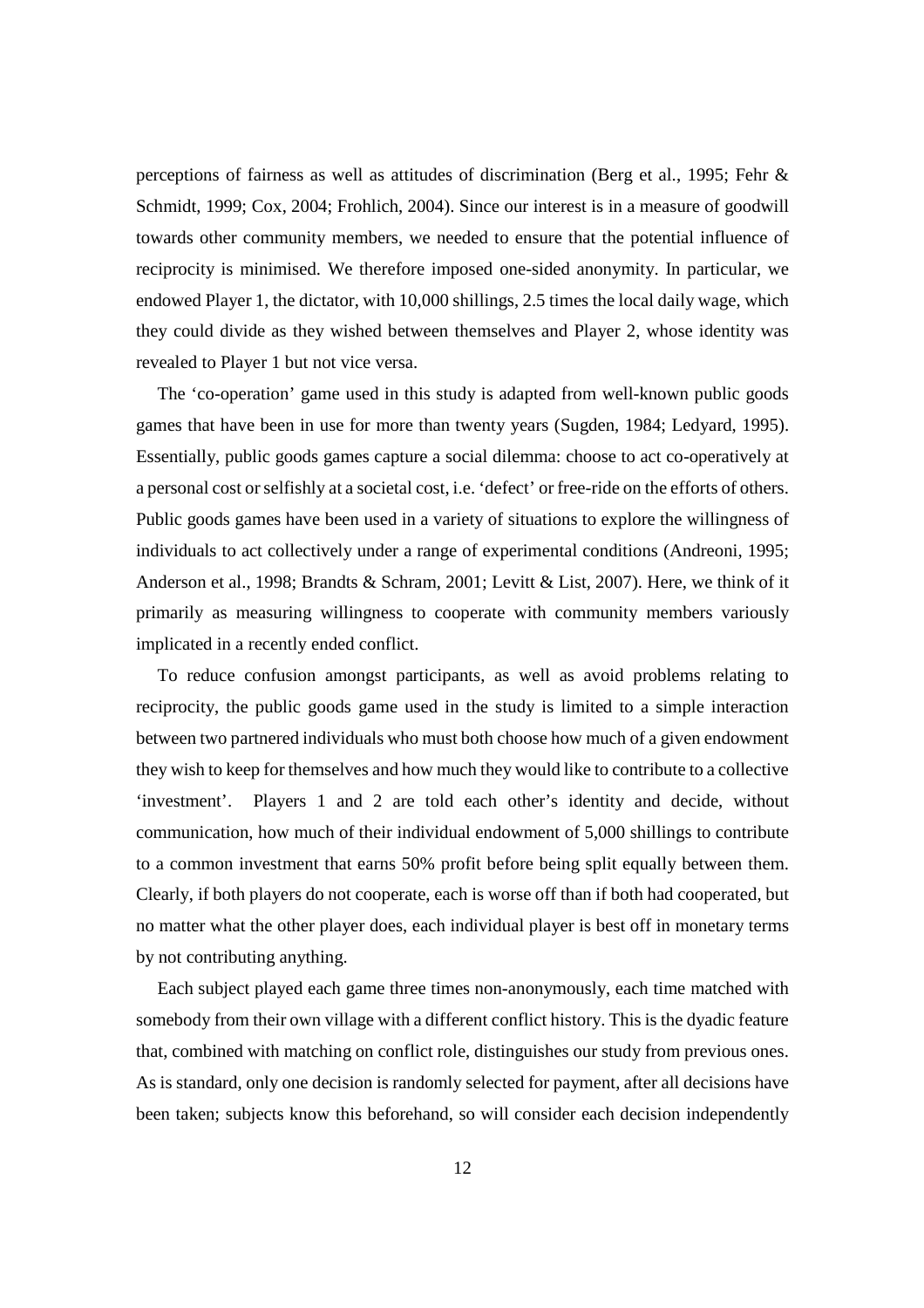perceptions of fairness as well as attitudes of discrimination (Berg et al., 1995; Fehr & Schmidt, 1999; Cox, 2004; Frohlich, 2004). Since our interest is in a measure of goodwill towards other community members, we needed to ensure that the potential influence of reciprocity is minimised. We therefore imposed one-sided anonymity. In particular, we endowed Player 1, the dictator, with 10,000 shillings, 2.5 times the local daily wage, which they could divide as they wished between themselves and Player 2, whose identity was revealed to Player 1 but not vice versa.

The 'co-operation' game used in this study is adapted from well-known public goods games that have been in use for more than twenty years (Sugden, 1984; Ledyard, 1995). Essentially, public goods games capture a social dilemma: choose to act co-operatively at a personal cost or selfishly at a societal cost, i.e. 'defect' or free-ride on the efforts of others. Public goods games have been used in a variety of situations to explore the willingness of individuals to act collectively under a range of experimental conditions (Andreoni, 1995; Anderson et al., 1998; Brandts & Schram, 2001; Levitt & List, 2007). Here, we think of it primarily as measuring willingness to cooperate with community members variously implicated in a recently ended conflict.

To reduce confusion amongst participants, as well as avoid problems relating to reciprocity, the public goods game used in the study is limited to a simple interaction between two partnered individuals who must both choose how much of a given endowment they wish to keep for themselves and how much they would like to contribute to a collective 'investment'. Players 1 and 2 are told each other's identity and decide, without communication, how much of their individual endowment of 5,000 shillings to contribute to a common investment that earns 50% profit before being split equally between them. Clearly, if both players do not cooperate, each is worse off than if both had cooperated, but no matter what the other player does, each individual player is best off in monetary terms by not contributing anything.

Each subject played each game three times non-anonymously, each time matched with somebody from their own village with a different conflict history. This is the dyadic feature that, combined with matching on conflict role, distinguishes our study from previous ones. As is standard, only one decision is randomly selected for payment, after all decisions have been taken; subjects know this beforehand, so will consider each decision independently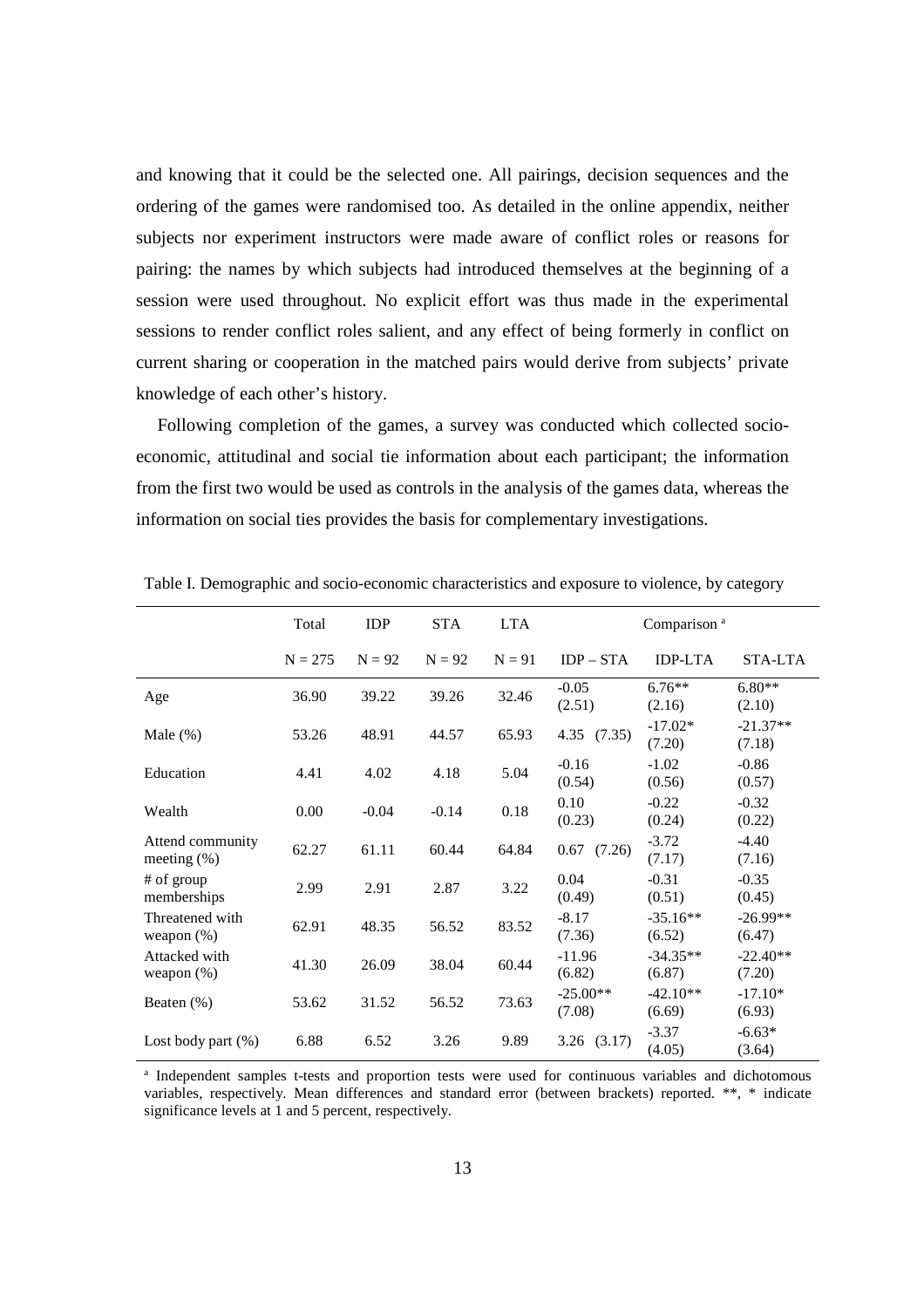and knowing that it could be the selected one. All pairings, decision sequences and the ordering of the games were randomised too. As detailed in the online appendix, neither subjects nor experiment instructors were made aware of conflict roles or reasons for pairing: the names by which subjects had introduced themselves at the beginning of a session were used throughout. No explicit effort was thus made in the experimental sessions to render conflict roles salient, and any effect of being formerly in conflict on current sharing or cooperation in the matched pairs would derive from subjects' private knowledge of each other's history.

Following completion of the games, a survey was conducted which collected socioeconomic, attitudinal and social tie information about each participant; the information from the first two would be used as controls in the analysis of the games data, whereas the information on social ties provides the basis for complementary investigations.

|                                    | Total     | <b>IDP</b> | <b>STA</b> | <b>LTA</b> | Comparison <sup>a</sup> |                      |                      |
|------------------------------------|-----------|------------|------------|------------|-------------------------|----------------------|----------------------|
|                                    | $N = 275$ | $N = 92$   | $N = 92$   | $N = 91$   | $IDP - STA$             | <b>IDP-LTA</b>       | STA-LTA              |
| Age                                | 36.90     | 39.22      | 39.26      | 32.46      | $-0.05$<br>(2.51)       | $6.76**$<br>(2.16)   | $6.80**$<br>(2.10)   |
| Male $(\%)$                        | 53.26     | 48.91      | 44.57      | 65.93      | 4.35(7.35)              | $-17.02*$<br>(7.20)  | $-21.37**$<br>(7.18) |
| Education                          | 4.41      | 4.02       | 4.18       | 5.04       | $-0.16$<br>(0.54)       | $-1.02$<br>(0.56)    | $-0.86$<br>(0.57)    |
| Wealth                             | 0.00      | $-0.04$    | $-0.14$    | 0.18       | 0.10<br>(0.23)          | $-0.22$<br>(0.24)    | $-0.32$<br>(0.22)    |
| Attend community<br>meeting $(\%)$ | 62.27     | 61.11      | 60.44      | 64.84      | $0.67$ $(7.26)$         | $-3.72$<br>(7.17)    | $-4.40$<br>(7.16)    |
| # of group<br>memberships          | 2.99      | 2.91       | 2.87       | 3.22       | 0.04<br>(0.49)          | $-0.31$<br>(0.51)    | $-0.35$<br>(0.45)    |
| Threatened with<br>weapon $(\%)$   | 62.91     | 48.35      | 56.52      | 83.52      | $-8.17$<br>(7.36)       | $-35.16**$<br>(6.52) | $-26.99**$<br>(6.47) |
| Attacked with<br>weapon $(\%)$     | 41.30     | 26.09      | 38.04      | 60.44      | $-11.96$<br>(6.82)      | $-34.35**$<br>(6.87) | $-22.40**$<br>(7.20) |
| Beaten $(\%)$                      | 53.62     | 31.52      | 56.52      | 73.63      | $-25.00**$<br>(7.08)    | $-42.10**$<br>(6.69) | $-17.10*$<br>(6.93)  |
| Lost body part $(\%)$              | 6.88      | 6.52       | 3.26       | 9.89       | $3.26$ $(3.17)$         | $-3.37$<br>(4.05)    | $-6.63*$<br>(3.64)   |

Table I. Demographic and socio-economic characteristics and exposure to violence, by category

a Independent samples t-tests and proportion tests were used for continuous variables and dichotomous variables, respectively. Mean differences and standard error (between brackets) reported. \*\*, \* indicate significance levels at 1 and 5 percent, respectively.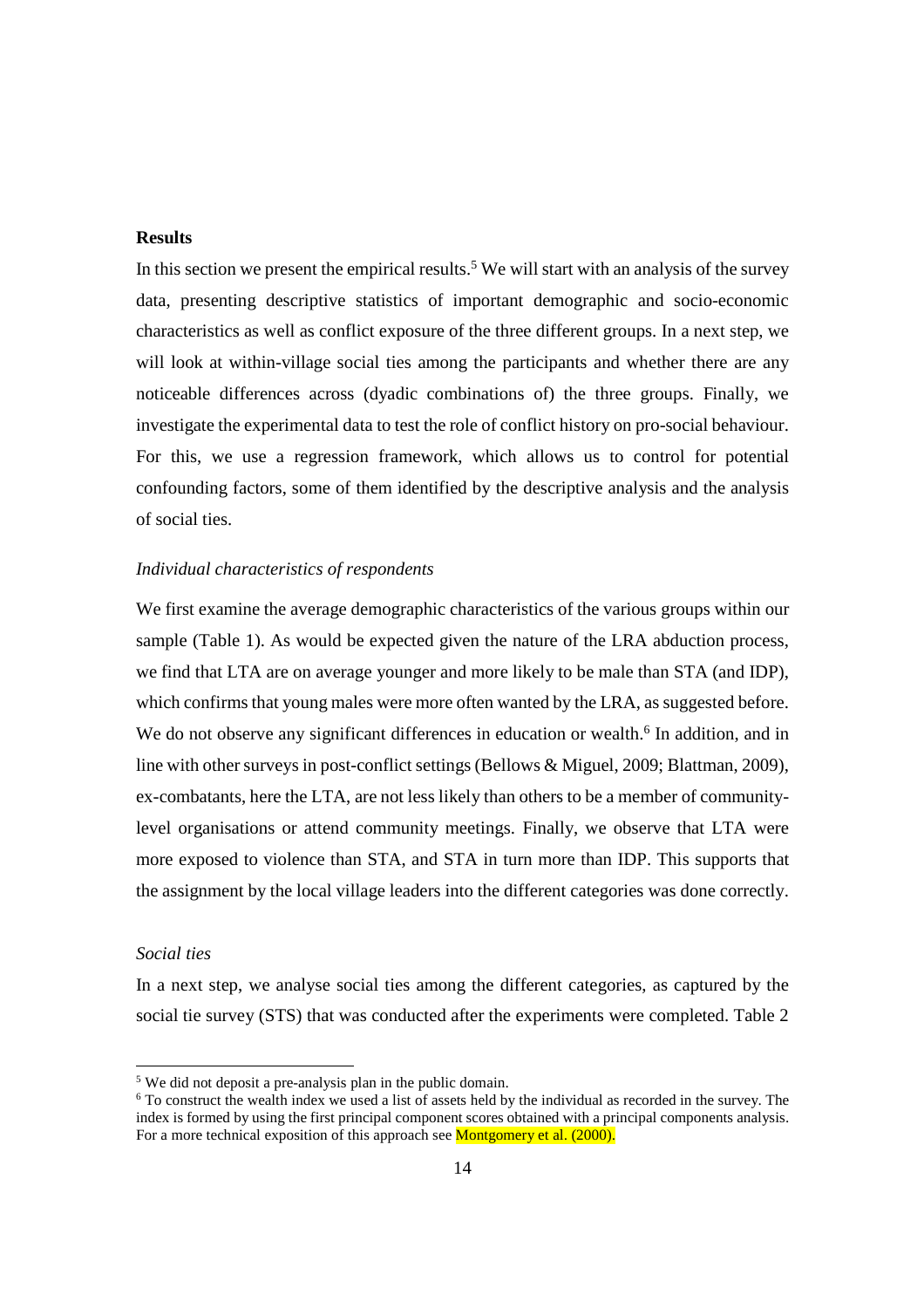## **Results**

In this section we present the empirical results.<sup>5</sup> We will start with an analysis of the survey data, presenting descriptive statistics of important demographic and socio-economic characteristics as well as conflict exposure of the three different groups. In a next step, we will look at within-village social ties among the participants and whether there are any noticeable differences across (dyadic combinations of) the three groups. Finally, we investigate the experimental data to test the role of conflict history on pro-social behaviour. For this, we use a regression framework, which allows us to control for potential confounding factors, some of them identified by the descriptive analysis and the analysis of social ties.

#### *Individual characteristics of respondents*

We first examine the average demographic characteristics of the various groups within our sample (Table 1). As would be expected given the nature of the LRA abduction process, we find that LTA are on average younger and more likely to be male than STA (and IDP), which confirms that young males were more often wanted by the LRA, as suggested before. We do not observe any significant differences in education or wealth.<sup>6</sup> In addition, and in line with other surveys in post-conflict settings (Bellows & Miguel, 2009; Blattman, 2009), ex-combatants, here the LTA, are not less likely than others to be a member of communitylevel organisations or attend community meetings. Finally, we observe that LTA were more exposed to violence than STA, and STA in turn more than IDP. This supports that the assignment by the local village leaders into the different categories was done correctly.

# *Social ties*

-

In a next step, we analyse social ties among the different categories, as captured by the social tie survey (STS) that was conducted after the experiments were completed. Table 2

<sup>&</sup>lt;sup>5</sup> We did not deposit a pre-analysis plan in the public domain.

<sup>6</sup> To construct the wealth index we used a list of assets held by the individual as recorded in the survey. The index is formed by using the first principal component scores obtained with a principal components analysis. For a more technical exposition of this approach see **Montgomery et al.** (2000).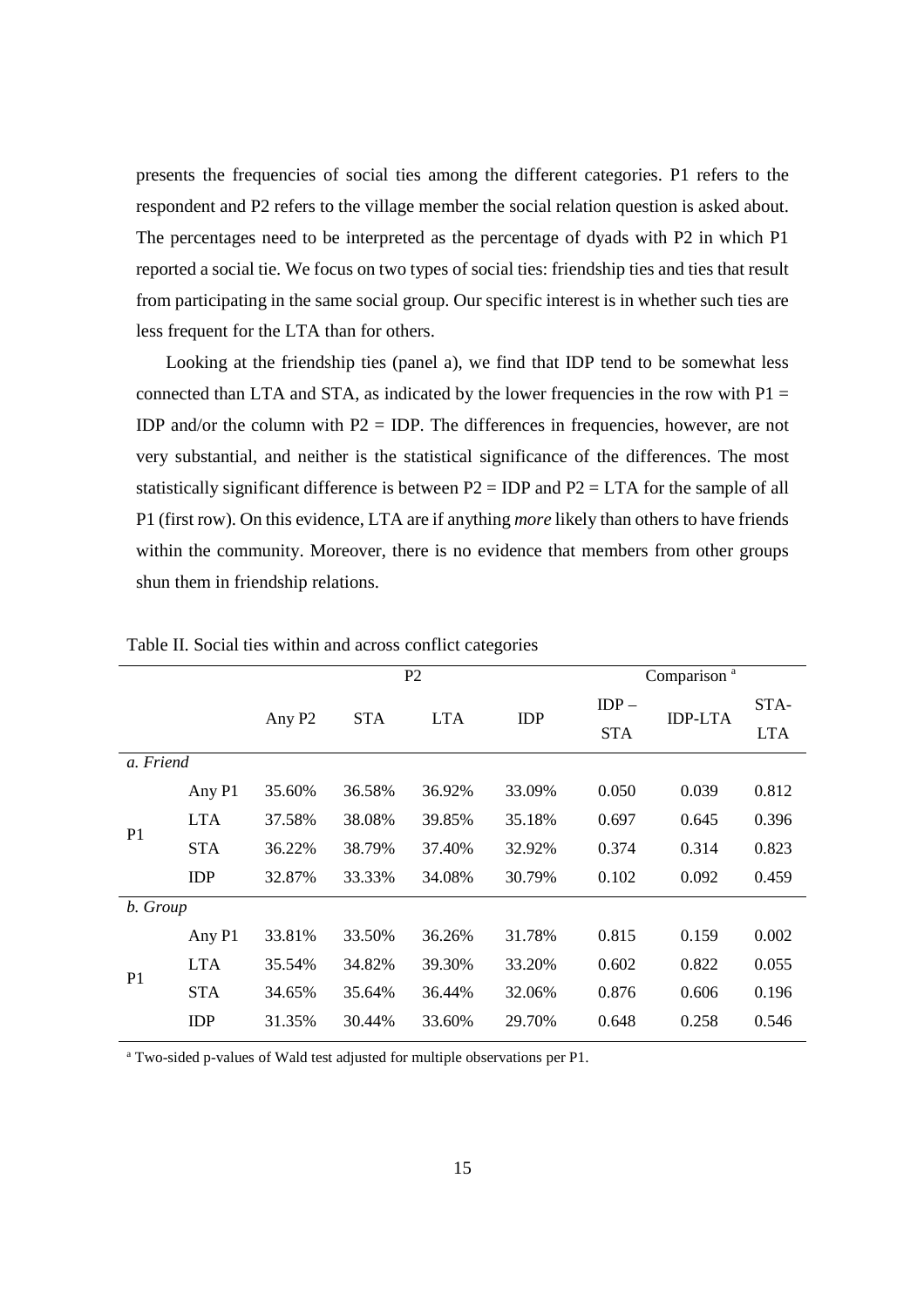presents the frequencies of social ties among the different categories. P1 refers to the respondent and P2 refers to the village member the social relation question is asked about. The percentages need to be interpreted as the percentage of dyads with P2 in which P1 reported a social tie. We focus on two types of social ties: friendship ties and ties that result from participating in the same social group. Our specific interest is in whether such ties are less frequent for the LTA than for others.

Looking at the friendship ties (panel a), we find that IDP tend to be somewhat less connected than LTA and STA, as indicated by the lower frequencies in the row with  $P1 =$ IDP and/or the column with  $P2 = IDP$ . The differences in frequencies, however, are not very substantial, and neither is the statistical significance of the differences. The most statistically significant difference is between  $P2 = IDP$  and  $P2 = LTA$  for the sample of all P1 (first row). On this evidence, LTA are if anything *more* likely than others to have friends within the community. Moreover, there is no evidence that members from other groups shun them in friendship relations.

|                |            |                    |            | P <sub>2</sub> | Comparison <sup>a</sup> |            |                |            |
|----------------|------------|--------------------|------------|----------------|-------------------------|------------|----------------|------------|
|                |            |                    | <b>STA</b> | <b>LTA</b>     | <b>IDP</b>              | $IDP -$    | <b>IDP-LTA</b> | STA-       |
|                |            | Any P <sub>2</sub> |            |                |                         | <b>STA</b> |                | <b>LTA</b> |
| a. Friend      |            |                    |            |                |                         |            |                |            |
|                | Any P1     | 35.60%             | 36.58%     | 36.92%         | 33.09%                  | 0.050      | 0.039          | 0.812      |
| P <sub>1</sub> | <b>LTA</b> | 37.58%             | 38.08%     | 39.85%         | 35.18%                  | 0.697      | 0.645          | 0.396      |
|                | <b>STA</b> | 36.22%             | 38.79%     | 37.40%         | 32.92%                  | 0.374      | 0.314          | 0.823      |
|                | <b>IDP</b> | 32.87%             | 33.33%     | 34.08%         | 30.79%                  | 0.102      | 0.092          | 0.459      |
| b. Group       |            |                    |            |                |                         |            |                |            |
|                | Any P1     | 33.81%             | 33.50%     | 36.26%         | 31.78%                  | 0.815      | 0.159          | 0.002      |
| P <sub>1</sub> | <b>LTA</b> | 35.54%             | 34.82%     | 39.30%         | 33.20%                  | 0.602      | 0.822          | 0.055      |
|                | <b>STA</b> | 34.65%             | 35.64%     | 36.44%         | 32.06%                  | 0.876      | 0.606          | 0.196      |
|                | <b>IDP</b> | 31.35%             | 30.44%     | 33.60%         | 29.70%                  | 0.648      | 0.258          | 0.546      |

Table II. Social ties within and across conflict categories

<sup>a</sup> Two-sided p-values of Wald test adjusted for multiple observations per P1.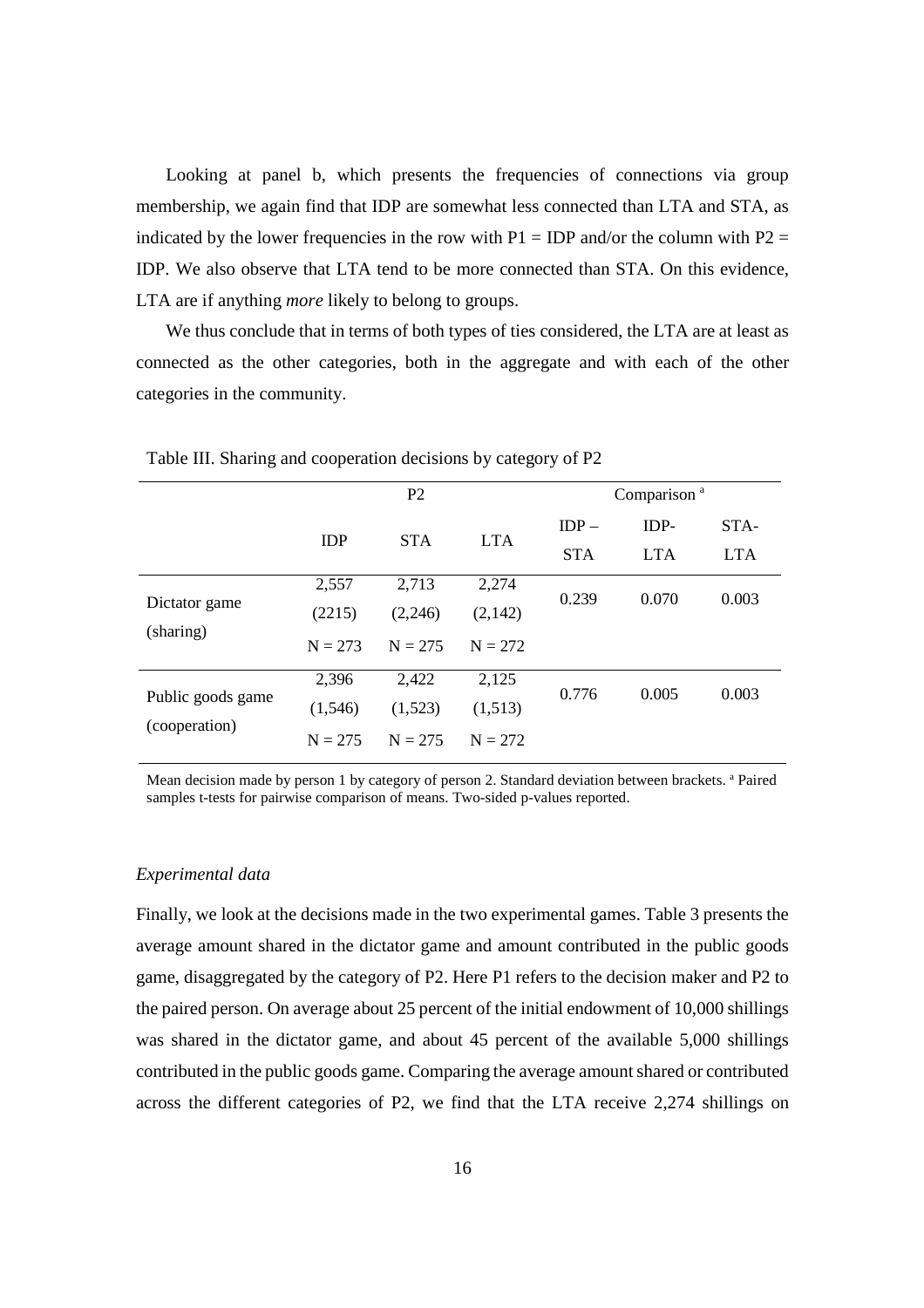Looking at panel b, which presents the frequencies of connections via group membership, we again find that IDP are somewhat less connected than LTA and STA, as indicated by the lower frequencies in the row with  $P1 = IDP$  and/or the column with  $P2 =$ IDP. We also observe that LTA tend to be more connected than STA. On this evidence, LTA are if anything *more* likely to belong to groups.

We thus conclude that in terms of both types of ties considered, the LTA are at least as connected as the other categories, both in the aggregate and with each of the other categories in the community.

|                   | P <sub>2</sub> |            |            | Comparison <sup>a</sup> |            |            |  |
|-------------------|----------------|------------|------------|-------------------------|------------|------------|--|
|                   | <b>IDP</b>     | <b>STA</b> | <b>LTA</b> | $IDP -$                 | IDP-       | STA-       |  |
|                   |                |            |            | <b>STA</b>              | <b>LTA</b> | <b>LTA</b> |  |
|                   | 2,557          | 2,713      | 2,274      | 0.239                   | 0.070      | 0.003      |  |
| Dictator game     | (2215)         | (2,246)    | (2, 142)   |                         |            |            |  |
| (sharing)         | $N = 273$      | $N = 275$  | $N = 272$  |                         |            |            |  |
|                   | 2,396          | 2,422      | 2,125      | 0.776                   | 0.005      | 0.003      |  |
| Public goods game | (1,546)        | (1,523)    | (1,513)    |                         |            |            |  |
| (cooperation)     | $N = 275$      | $N = 275$  | $N = 272$  |                         |            |            |  |

Table III. Sharing and cooperation decisions by category of P2

Mean decision made by person 1 by category of person 2. Standard deviation between brackets. <sup>a</sup> Paired samples t-tests for pairwise comparison of means. Two-sided p-values reported.

#### *Experimental data*

Finally, we look at the decisions made in the two experimental games. Table 3 presents the average amount shared in the dictator game and amount contributed in the public goods game, disaggregated by the category of P2. Here P1 refers to the decision maker and P2 to the paired person. On average about 25 percent of the initial endowment of 10,000 shillings was shared in the dictator game, and about 45 percent of the available 5,000 shillings contributed in the public goods game. Comparing the average amount shared or contributed across the different categories of P2, we find that the LTA receive 2,274 shillings on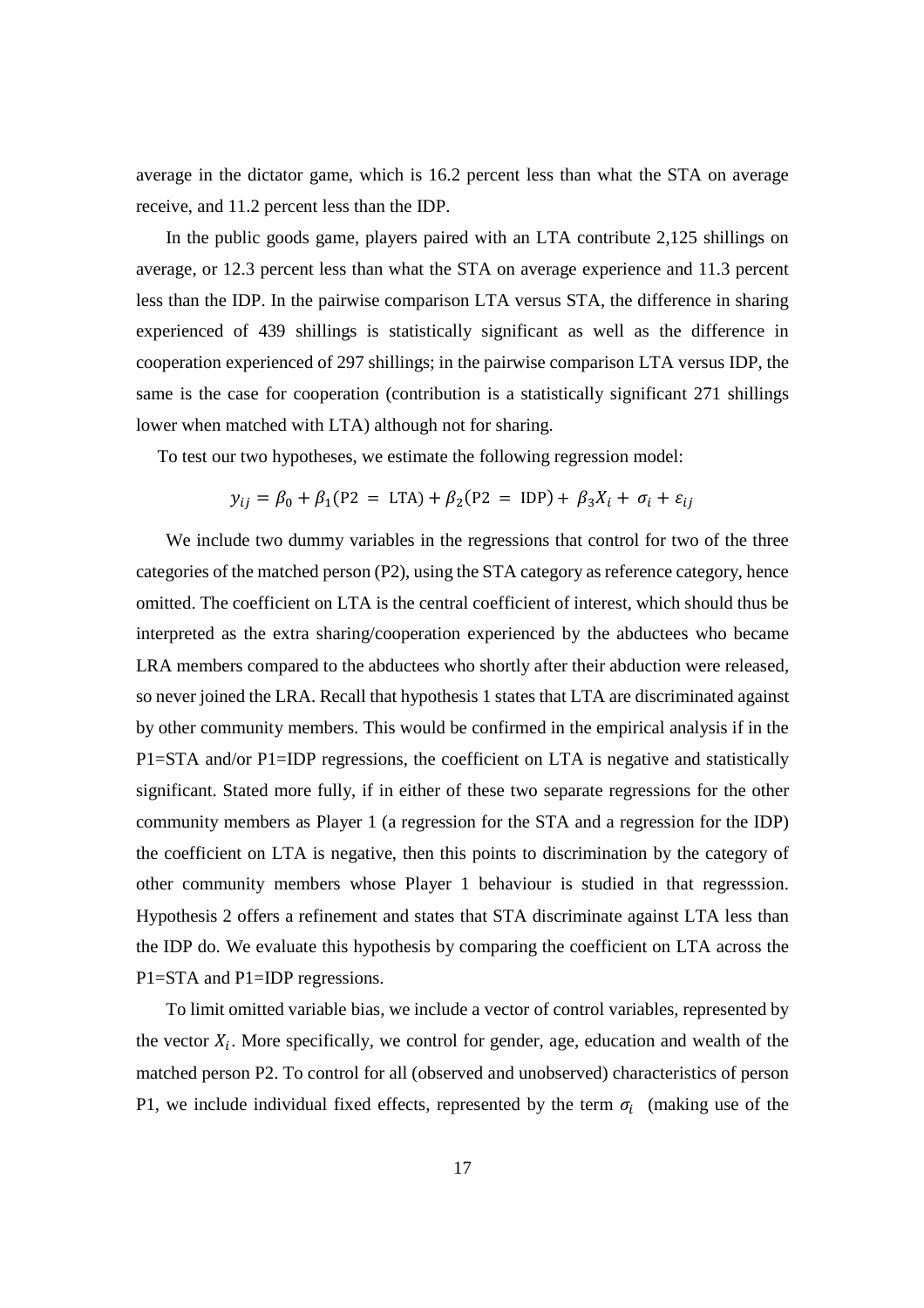average in the dictator game, which is 16.2 percent less than what the STA on average receive, and 11.2 percent less than the IDP.

In the public goods game, players paired with an LTA contribute 2,125 shillings on average, or 12.3 percent less than what the STA on average experience and 11.3 percent less than the IDP. In the pairwise comparison LTA versus STA, the difference in sharing experienced of 439 shillings is statistically significant as well as the difference in cooperation experienced of 297 shillings; in the pairwise comparison LTA versus IDP, the same is the case for cooperation (contribution is a statistically significant 271 shillings lower when matched with LTA) although not for sharing.

To test our two hypotheses, we estimate the following regression model:

$$
y_{ij} = \beta_0 + \beta_1 (P2 = LTA) + \beta_2 (P2 = IDP) + \beta_3 X_i + \sigma_i + \varepsilon_{ij}
$$

We include two dummy variables in the regressions that control for two of the three categories of the matched person (P2), using the STA category as reference category, hence omitted. The coefficient on LTA is the central coefficient of interest, which should thus be interpreted as the extra sharing/cooperation experienced by the abductees who became LRA members compared to the abductees who shortly after their abduction were released, so never joined the LRA. Recall that hypothesis 1 states that LTA are discriminated against by other community members. This would be confirmed in the empirical analysis if in the P1=STA and/or P1=IDP regressions, the coefficient on LTA is negative and statistically significant. Stated more fully, if in either of these two separate regressions for the other community members as Player 1 (a regression for the STA and a regression for the IDP) the coefficient on LTA is negative, then this points to discrimination by the category of other community members whose Player 1 behaviour is studied in that regresssion. Hypothesis 2 offers a refinement and states that STA discriminate against LTA less than the IDP do. We evaluate this hypothesis by comparing the coefficient on LTA across the P1=STA and P1=IDP regressions.

To limit omitted variable bias, we include a vector of control variables, represented by the vector  $X_i$ . More specifically, we control for gender, age, education and wealth of the matched person P2. To control for all (observed and unobserved) characteristics of person P1, we include individual fixed effects, represented by the term  $\sigma_i$  (making use of the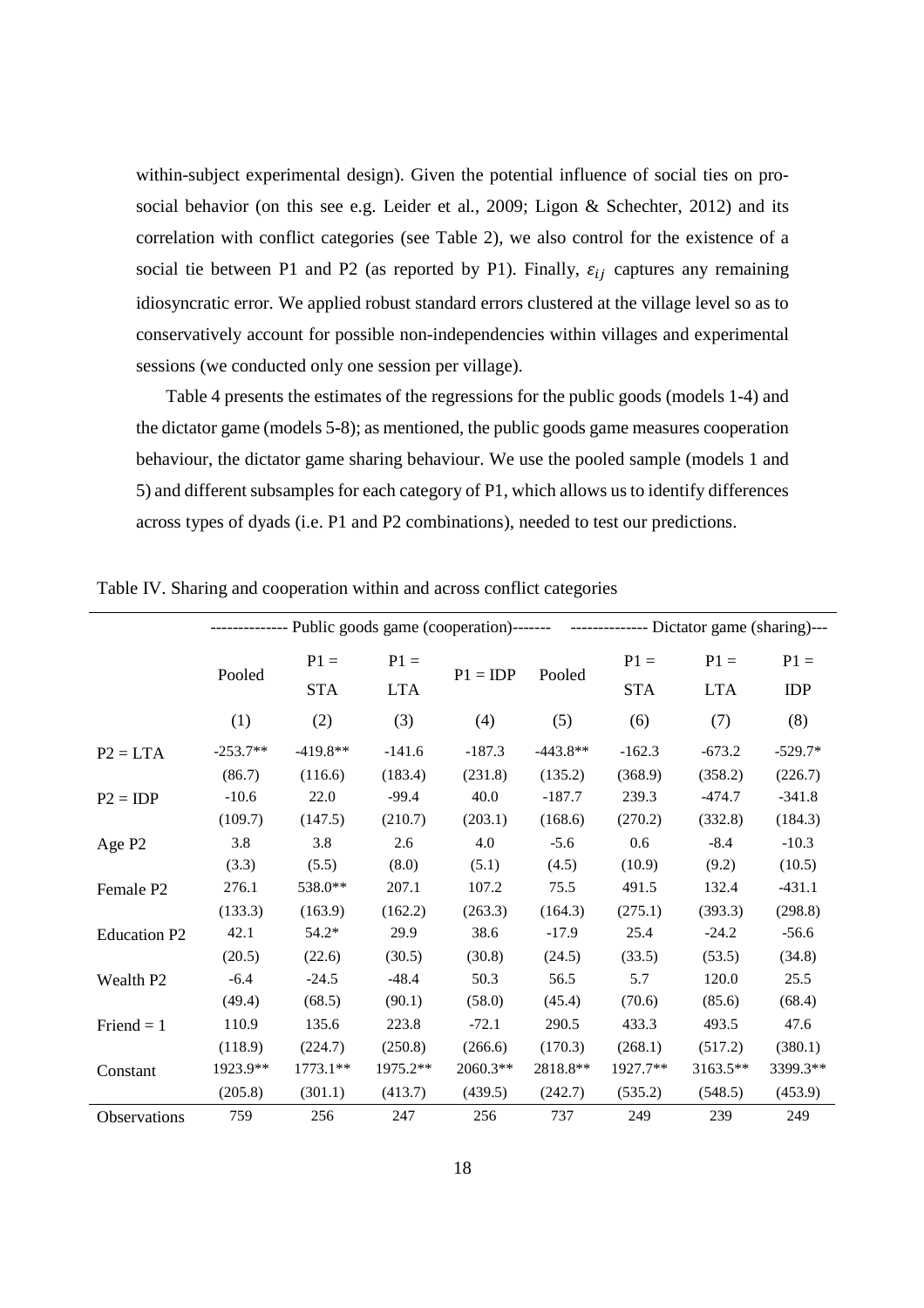within-subject experimental design). Given the potential influence of social ties on prosocial behavior (on this see e.g. Leider et al*.*, 2009; Ligon & Schechter, 2012) and its correlation with conflict categories (see Table 2), we also control for the existence of a social tie between P1 and P2 (as reported by P1). Finally,  $\varepsilon_{ij}$  captures any remaining idiosyncratic error. We applied robust standard errors clustered at the village level so as to conservatively account for possible non-independencies within villages and experimental sessions (we conducted only one session per village).

Table 4 presents the estimates of the regressions for the public goods (models 1-4) and the dictator game (models 5-8); as mentioned, the public goods game measures cooperation behaviour, the dictator game sharing behaviour. We use the pooled sample (models 1 and 5) and different subsamples for each category of P1, which allows us to identify differences across types of dyads (i.e. P1 and P2 combinations), needed to test our predictions.

| -------------- Public goods game (cooperation)------- ---------------- Dictator game (sharing)--- |            |            |            |            |            |            |            |            |  |  |
|---------------------------------------------------------------------------------------------------|------------|------------|------------|------------|------------|------------|------------|------------|--|--|
|                                                                                                   |            | $P1 =$     | $P1 =$     |            |            | $P1 =$     | $P1 =$     | $P1 =$     |  |  |
|                                                                                                   | Pooled     | <b>STA</b> | <b>LTA</b> | $P1 = IDP$ | Pooled     | <b>STA</b> | <b>LTA</b> | <b>IDP</b> |  |  |
|                                                                                                   | (1)        | (2)        | (3)        | (4)        | (5)        | (6)        | (7)        | (8)        |  |  |
| $P2 = LTA$                                                                                        | $-253.7**$ | $-419.8**$ | $-141.6$   | $-187.3$   | $-443.8**$ | $-162.3$   | $-673.2$   | $-529.7*$  |  |  |
|                                                                                                   | (86.7)     | (116.6)    | (183.4)    | (231.8)    | (135.2)    | (368.9)    | (358.2)    | (226.7)    |  |  |
| $P2 = IDP$                                                                                        | $-10.6$    | 22.0       | $-99.4$    | 40.0       | $-187.7$   | 239.3      | $-474.7$   | $-341.8$   |  |  |
|                                                                                                   | (109.7)    | (147.5)    | (210.7)    | (203.1)    | (168.6)    | (270.2)    | (332.8)    | (184.3)    |  |  |
| Age P <sub>2</sub>                                                                                | 3.8        | 3.8        | 2.6        | 4.0        | $-5.6$     | 0.6        | $-8.4$     | $-10.3$    |  |  |
|                                                                                                   | (3.3)      | (5.5)      | (8.0)      | (5.1)      | (4.5)      | (10.9)     | (9.2)      | (10.5)     |  |  |
| Female P2                                                                                         | 276.1      | 538.0**    | 207.1      | 107.2      | 75.5       | 491.5      | 132.4      | $-431.1$   |  |  |
|                                                                                                   | (133.3)    | (163.9)    | (162.2)    | (263.3)    | (164.3)    | (275.1)    | (393.3)    | (298.8)    |  |  |
| <b>Education P2</b>                                                                               | 42.1       | $54.2*$    | 29.9       | 38.6       | $-17.9$    | 25.4       | $-24.2$    | $-56.6$    |  |  |
|                                                                                                   | (20.5)     | (22.6)     | (30.5)     | (30.8)     | (24.5)     | (33.5)     | (53.5)     | (34.8)     |  |  |
| Wealth P <sub>2</sub>                                                                             | $-6.4$     | $-24.5$    | $-48.4$    | 50.3       | 56.5       | 5.7        | 120.0      | 25.5       |  |  |
|                                                                                                   | (49.4)     | (68.5)     | (90.1)     | (58.0)     | (45.4)     | (70.6)     | (85.6)     | (68.4)     |  |  |
| Friend $= 1$                                                                                      | 110.9      | 135.6      | 223.8      | $-72.1$    | 290.5      | 433.3      | 493.5      | 47.6       |  |  |
|                                                                                                   | (118.9)    | (224.7)    | (250.8)    | (266.6)    | (170.3)    | (268.1)    | (517.2)    | (380.1)    |  |  |
| Constant                                                                                          | 1923.9**   | $1773.1**$ | 1975.2**   | 2060.3**   | 2818.8**   | 1927.7**   | 3163.5**   | 3399.3**   |  |  |
|                                                                                                   | (205.8)    | (301.1)    | (413.7)    | (439.5)    | (242.7)    | (535.2)    | (548.5)    | (453.9)    |  |  |
| Observations                                                                                      | 759        | 256        | 247        | 256        | 737        | 249        | 239        | 249        |  |  |

Table IV. Sharing and cooperation within and across conflict categories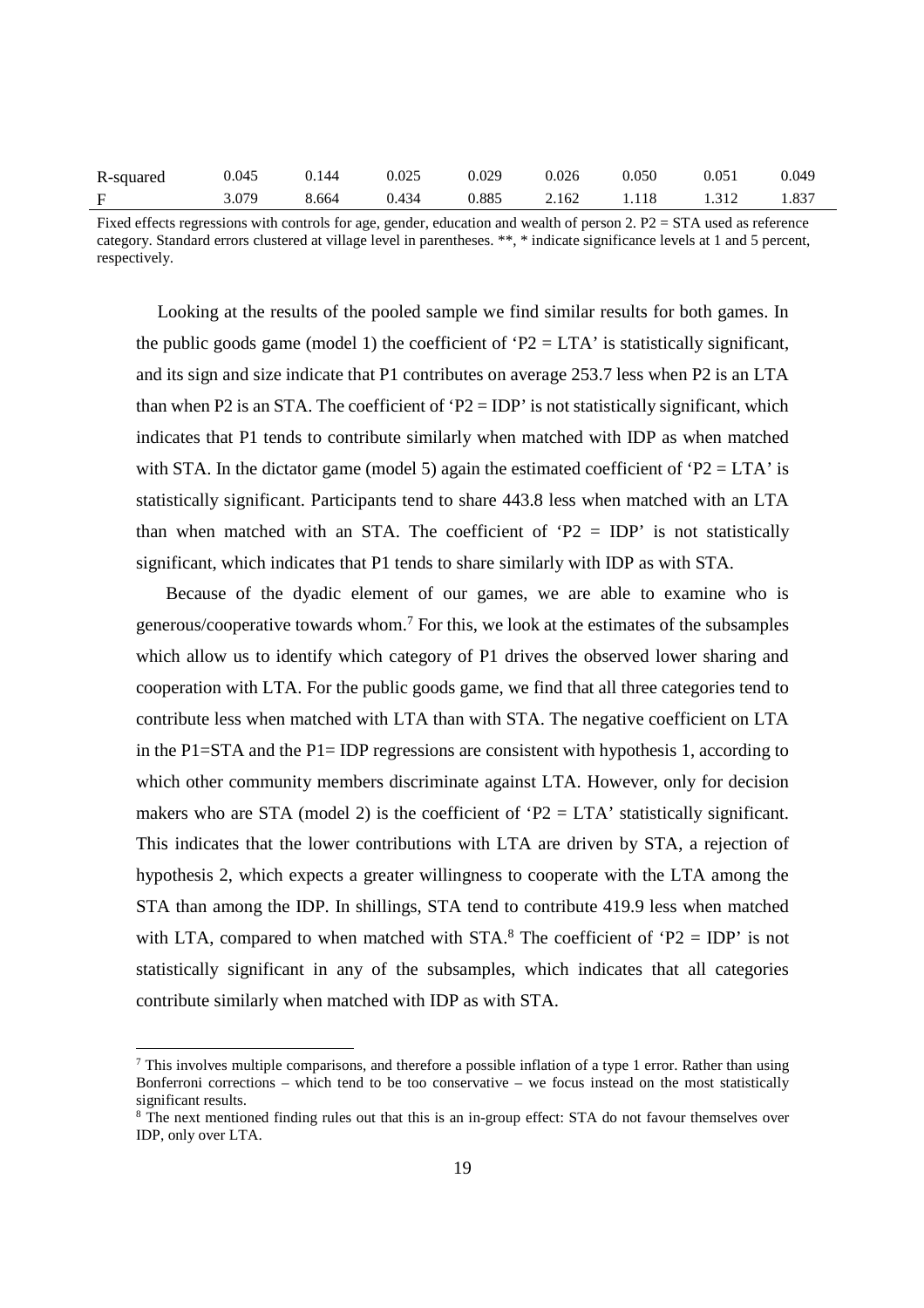| R-squared | 0.045 | 0.144 | 0.025 | 0.029 | 0.026 | 0.050             | 0.051 | 0.049 |
|-----------|-------|-------|-------|-------|-------|-------------------|-------|-------|
|           | 3.079 | 8.664 | 0.434 | 0.885 |       | 2.162 1.118 1.312 |       | 1.837 |

Fixed effects regressions with controls for age, gender, education and wealth of person 2. P2 = STA used as reference category. Standard errors clustered at village level in parentheses. \*\*, \* indicate significance levels at 1 and 5 percent, respectively.

Looking at the results of the pooled sample we find similar results for both games. In the public goods game (model 1) the coefficient of ' $P2 = LTA$ ' is statistically significant, and its sign and size indicate that P1 contributes on average 253.7 less when P2 is an LTA than when P2 is an STA. The coefficient of 'P2 = IDP' is not statistically significant, which indicates that P1 tends to contribute similarly when matched with IDP as when matched with STA. In the dictator game (model 5) again the estimated coefficient of 'P2 = LTA' is statistically significant. Participants tend to share 443.8 less when matched with an LTA than when matched with an STA. The coefficient of 'P2 = IDP' is not statistically significant, which indicates that P1 tends to share similarly with IDP as with STA.

Because of the dyadic element of our games, we are able to examine who is generous/cooperative towards whom.<sup>7</sup> For this, we look at the estimates of the subsamples which allow us to identify which category of P1 drives the observed lower sharing and cooperation with LTA. For the public goods game, we find that all three categories tend to contribute less when matched with LTA than with STA. The negative coefficient on LTA in the P1=STA and the P1= IDP regressions are consistent with hypothesis 1, according to which other community members discriminate against LTA. However, only for decision makers who are STA (model 2) is the coefficient of 'P2 = LTA' statistically significant. This indicates that the lower contributions with LTA are driven by STA, a rejection of hypothesis 2, which expects a greater willingness to cooperate with the LTA among the STA than among the IDP. In shillings, STA tend to contribute 419.9 less when matched with LTA, compared to when matched with  $STA$ <sup>8</sup>. The coefficient of 'P2 = IDP' is not statistically significant in any of the subsamples, which indicates that all categories contribute similarly when matched with IDP as with STA.

-

<sup>&</sup>lt;sup>7</sup> This involves multiple comparisons, and therefore a possible inflation of a type 1 error. Rather than using Bonferroni corrections – which tend to be too conservative – we focus instead on the most statistically significant results.

<sup>&</sup>lt;sup>8</sup> The next mentioned finding rules out that this is an in-group effect: STA do not favour themselves over IDP, only over LTA.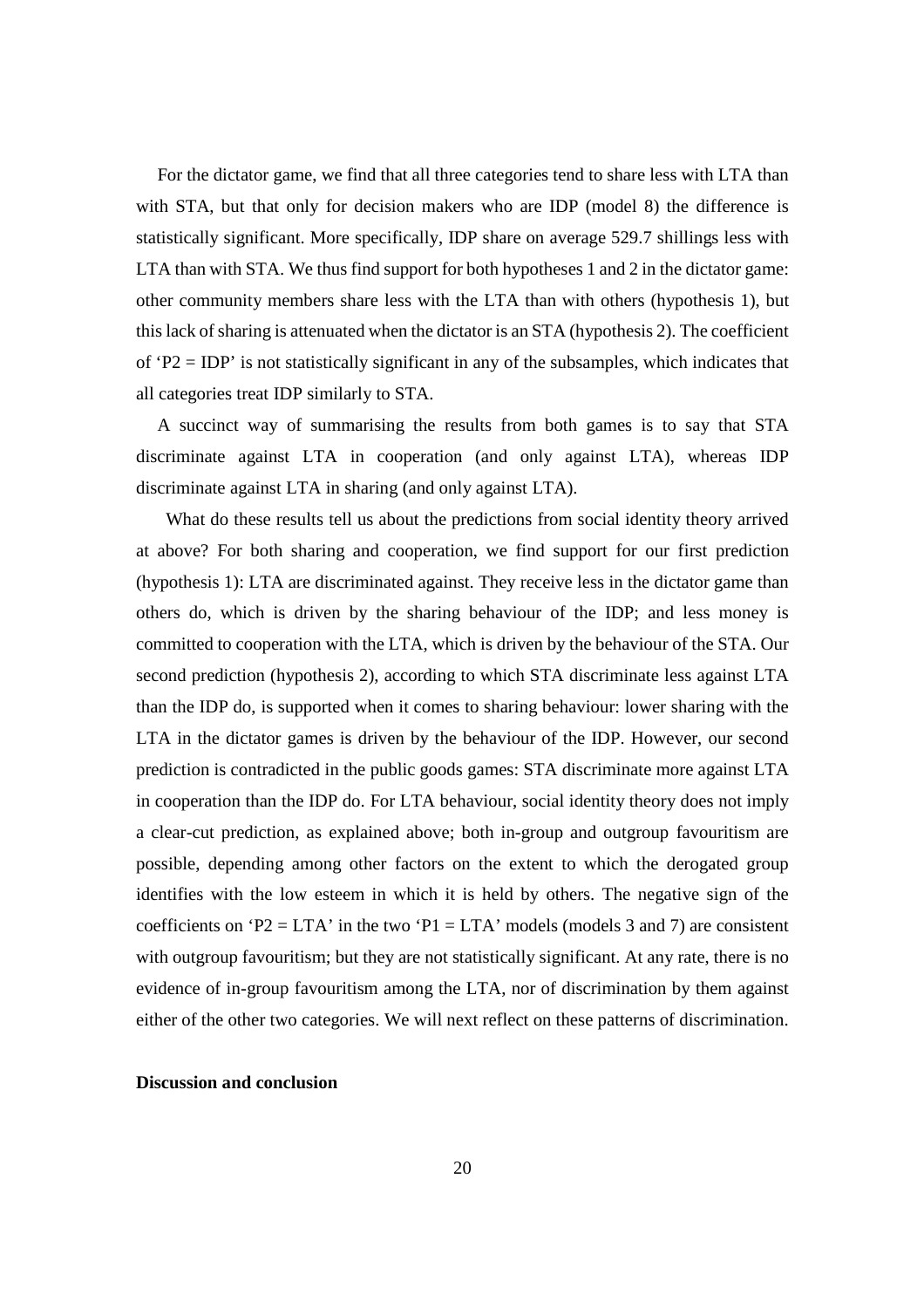For the dictator game, we find that all three categories tend to share less with LTA than with STA, but that only for decision makers who are IDP (model 8) the difference is statistically significant. More specifically, IDP share on average 529.7 shillings less with LTA than with STA. We thus find support for both hypotheses 1 and 2 in the dictator game: other community members share less with the LTA than with others (hypothesis 1), but this lack of sharing is attenuated when the dictator is an STA (hypothesis 2). The coefficient of  $'P2 = IDP'$  is not statistically significant in any of the subsamples, which indicates that all categories treat IDP similarly to STA.

A succinct way of summarising the results from both games is to say that STA discriminate against LTA in cooperation (and only against LTA), whereas IDP discriminate against LTA in sharing (and only against LTA).

What do these results tell us about the predictions from social identity theory arrived at above? For both sharing and cooperation, we find support for our first prediction (hypothesis 1): LTA are discriminated against. They receive less in the dictator game than others do, which is driven by the sharing behaviour of the IDP; and less money is committed to cooperation with the LTA, which is driven by the behaviour of the STA. Our second prediction (hypothesis 2), according to which STA discriminate less against LTA than the IDP do, is supported when it comes to sharing behaviour: lower sharing with the LTA in the dictator games is driven by the behaviour of the IDP. However, our second prediction is contradicted in the public goods games: STA discriminate more against LTA in cooperation than the IDP do. For LTA behaviour, social identity theory does not imply a clear-cut prediction, as explained above; both in-group and outgroup favouritism are possible, depending among other factors on the extent to which the derogated group identifies with the low esteem in which it is held by others. The negative sign of the coefficients on 'P2 = LTA' in the two 'P1 = LTA' models (models 3 and 7) are consistent with outgroup favouritism; but they are not statistically significant. At any rate, there is no evidence of in-group favouritism among the LTA, nor of discrimination by them against either of the other two categories. We will next reflect on these patterns of discrimination.

## **Discussion and conclusion**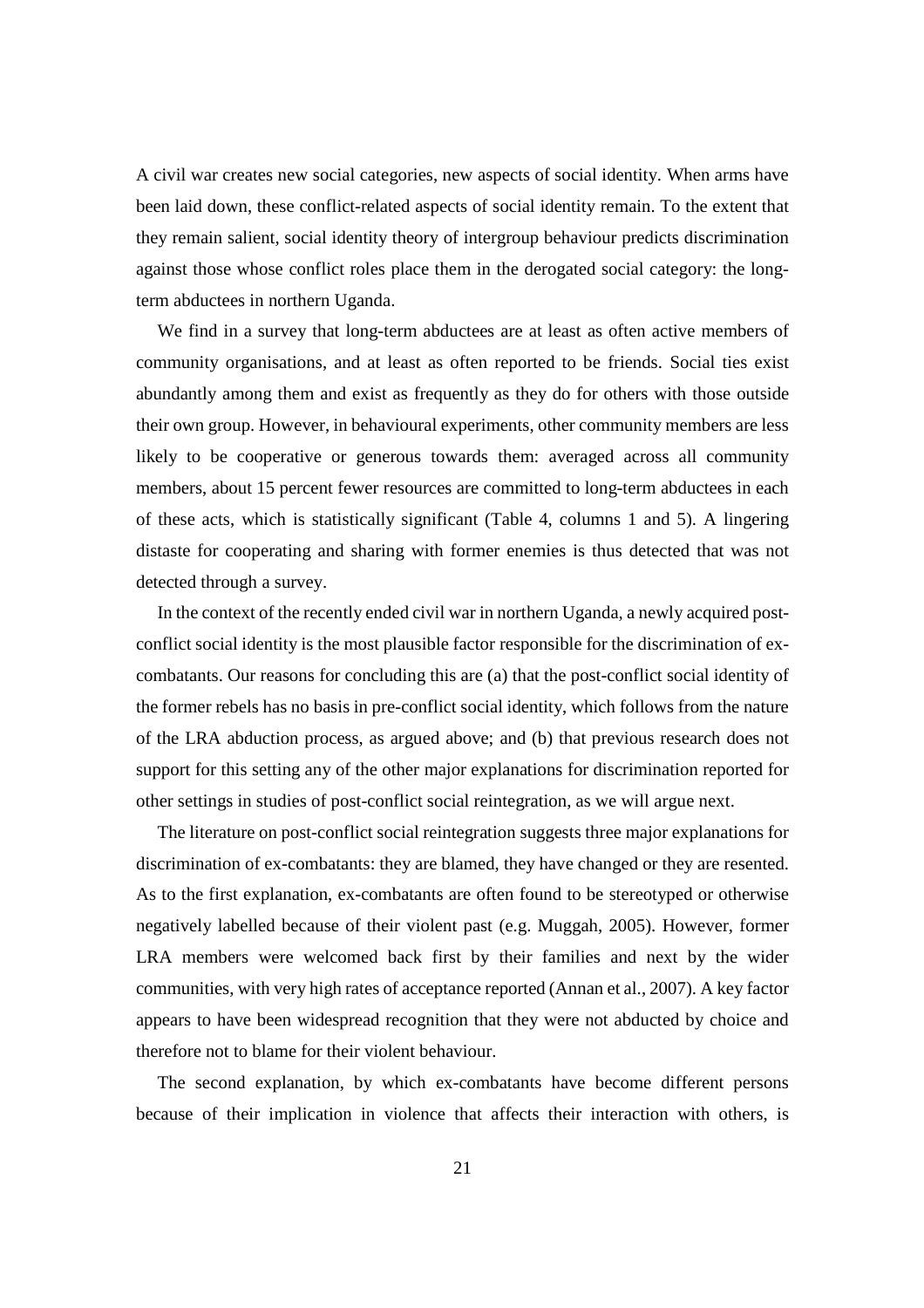A civil war creates new social categories, new aspects of social identity. When arms have been laid down, these conflict-related aspects of social identity remain. To the extent that they remain salient, social identity theory of intergroup behaviour predicts discrimination against those whose conflict roles place them in the derogated social category: the longterm abductees in northern Uganda.

We find in a survey that long-term abductees are at least as often active members of community organisations, and at least as often reported to be friends. Social ties exist abundantly among them and exist as frequently as they do for others with those outside their own group. However, in behavioural experiments, other community members are less likely to be cooperative or generous towards them: averaged across all community members, about 15 percent fewer resources are committed to long-term abductees in each of these acts, which is statistically significant (Table 4, columns 1 and 5). A lingering distaste for cooperating and sharing with former enemies is thus detected that was not detected through a survey.

In the context of the recently ended civil war in northern Uganda, a newly acquired postconflict social identity is the most plausible factor responsible for the discrimination of excombatants. Our reasons for concluding this are (a) that the post-conflict social identity of the former rebels has no basis in pre-conflict social identity, which follows from the nature of the LRA abduction process, as argued above; and (b) that previous research does not support for this setting any of the other major explanations for discrimination reported for other settings in studies of post-conflict social reintegration, as we will argue next.

The literature on post-conflict social reintegration suggests three major explanations for discrimination of ex-combatants: they are blamed, they have changed or they are resented. As to the first explanation, ex-combatants are often found to be stereotyped or otherwise negatively labelled because of their violent past (e.g. Muggah, 2005). However, former LRA members were welcomed back first by their families and next by the wider communities, with very high rates of acceptance reported (Annan et al., 2007). A key factor appears to have been widespread recognition that they were not abducted by choice and therefore not to blame for their violent behaviour.

The second explanation, by which ex-combatants have become different persons because of their implication in violence that affects their interaction with others, is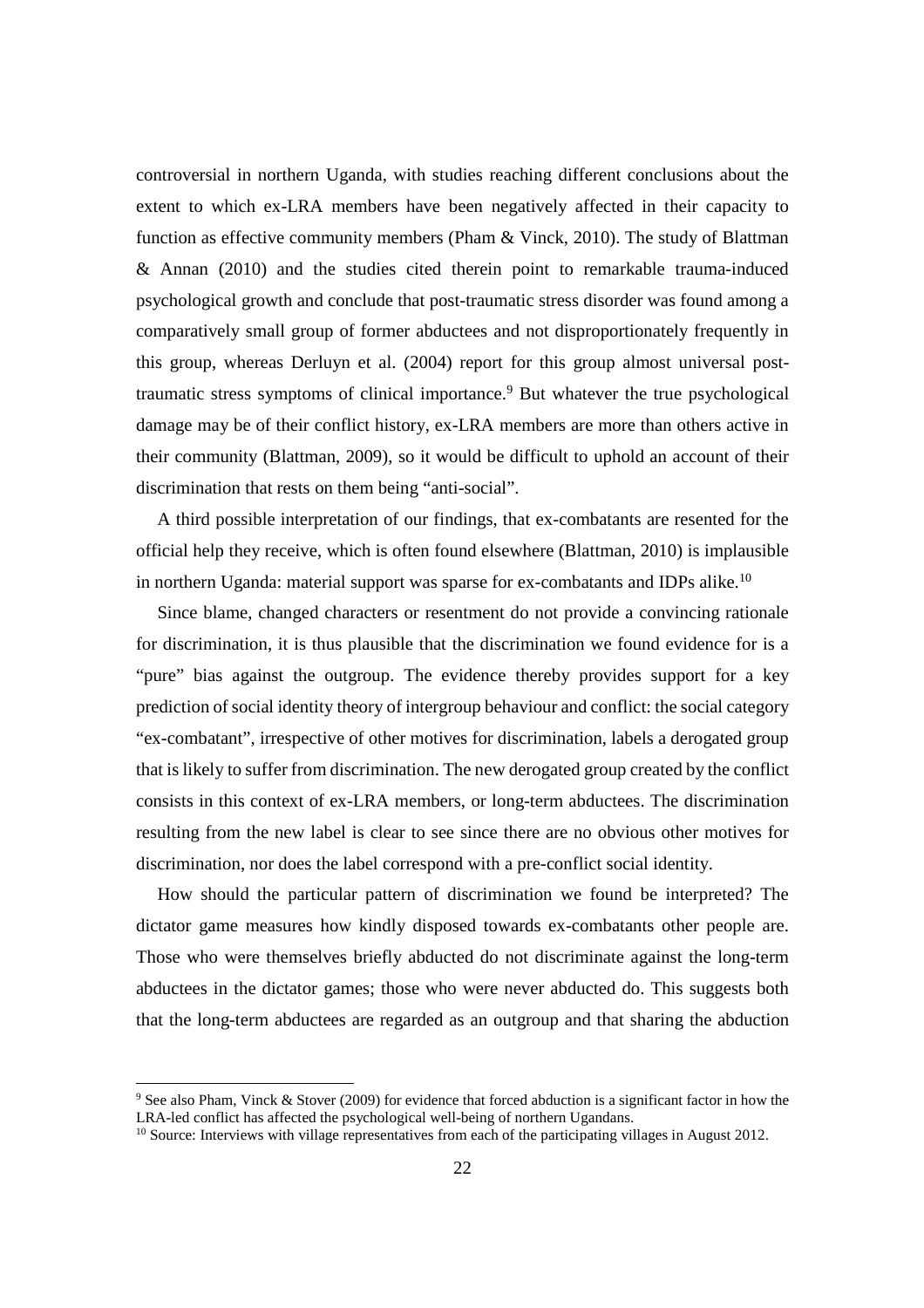controversial in northern Uganda, with studies reaching different conclusions about the extent to which ex-LRA members have been negatively affected in their capacity to function as effective community members (Pham & Vinck, 2010). The study of Blattman & Annan (2010) and the studies cited therein point to remarkable trauma-induced psychological growth and conclude that post-traumatic stress disorder was found among a comparatively small group of former abductees and not disproportionately frequently in this group, whereas Derluyn et al. (2004) report for this group almost universal posttraumatic stress symptoms of clinical importance.<sup>9</sup> But whatever the true psychological damage may be of their conflict history, ex-LRA members are more than others active in their community (Blattman, 2009), so it would be difficult to uphold an account of their discrimination that rests on them being "anti-social".

A third possible interpretation of our findings, that ex-combatants are resented for the official help they receive, which is often found elsewhere (Blattman, 2010) is implausible in northern Uganda: material support was sparse for ex-combatants and IDPs alike.<sup>10</sup>

Since blame, changed characters or resentment do not provide a convincing rationale for discrimination, it is thus plausible that the discrimination we found evidence for is a "pure" bias against the outgroup. The evidence thereby provides support for a key prediction of social identity theory of intergroup behaviour and conflict: the social category "ex-combatant", irrespective of other motives for discrimination, labels a derogated group that is likely to suffer from discrimination. The new derogated group created by the conflict consists in this context of ex-LRA members, or long-term abductees. The discrimination resulting from the new label is clear to see since there are no obvious other motives for discrimination, nor does the label correspond with a pre-conflict social identity.

How should the particular pattern of discrimination we found be interpreted? The dictator game measures how kindly disposed towards ex-combatants other people are. Those who were themselves briefly abducted do not discriminate against the long-term abductees in the dictator games; those who were never abducted do. This suggests both that the long-term abductees are regarded as an outgroup and that sharing the abduction

-

<sup>9</sup> See also Pham, Vinck & Stover (2009) for evidence that forced abduction is a significant factor in how the LRA-led conflict has affected the psychological well-being of northern Ugandans.

<sup>&</sup>lt;sup>10</sup> Source: Interviews with village representatives from each of the participating villages in August 2012.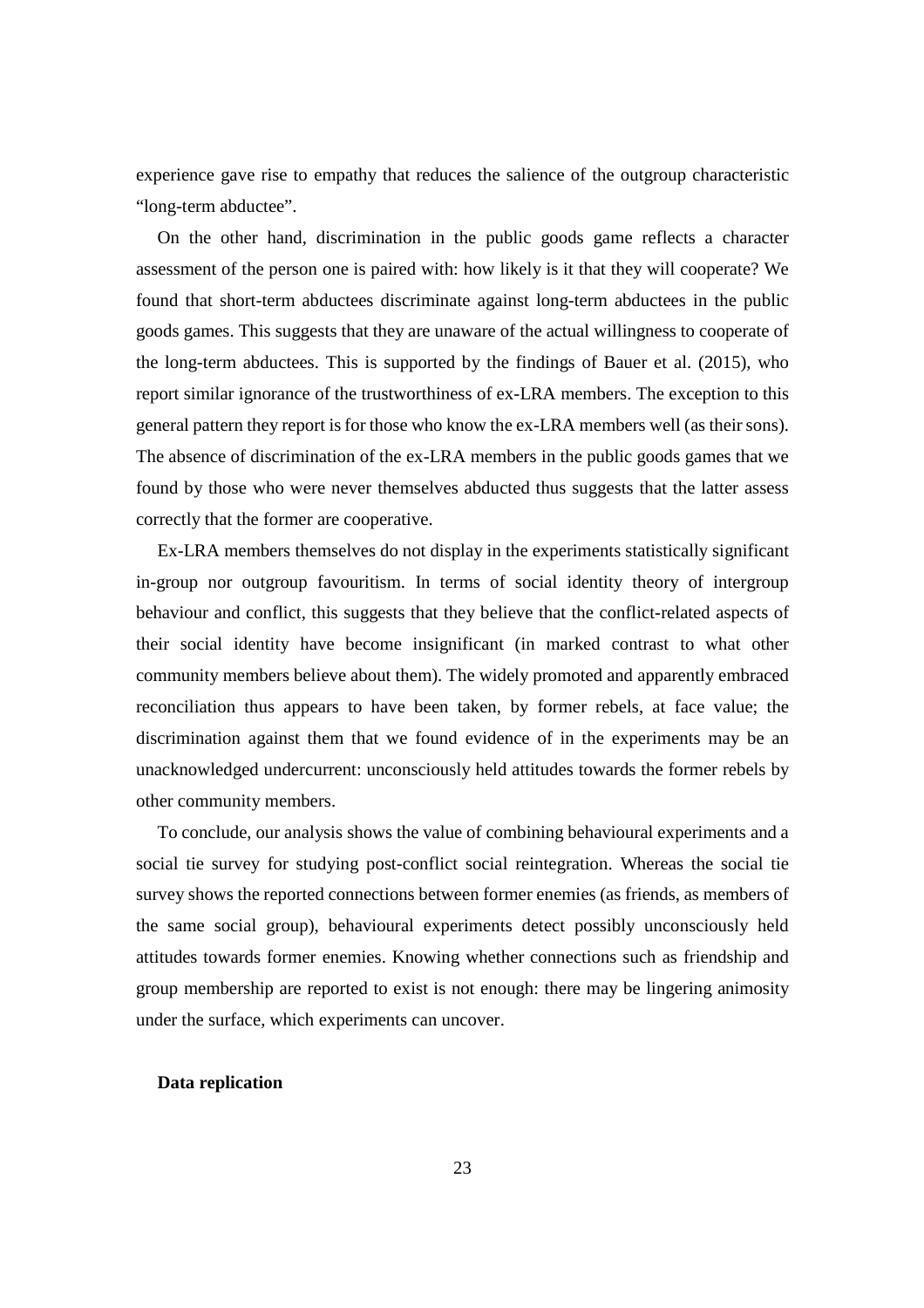experience gave rise to empathy that reduces the salience of the outgroup characteristic "long-term abductee".

On the other hand, discrimination in the public goods game reflects a character assessment of the person one is paired with: how likely is it that they will cooperate? We found that short-term abductees discriminate against long-term abductees in the public goods games. This suggests that they are unaware of the actual willingness to cooperate of the long-term abductees. This is supported by the findings of Bauer et al. (2015), who report similar ignorance of the trustworthiness of ex-LRA members. The exception to this general pattern they report is for those who know the ex-LRA members well (as their sons). The absence of discrimination of the ex-LRA members in the public goods games that we found by those who were never themselves abducted thus suggests that the latter assess correctly that the former are cooperative.

Ex-LRA members themselves do not display in the experiments statistically significant in-group nor outgroup favouritism. In terms of social identity theory of intergroup behaviour and conflict, this suggests that they believe that the conflict-related aspects of their social identity have become insignificant (in marked contrast to what other community members believe about them). The widely promoted and apparently embraced reconciliation thus appears to have been taken, by former rebels, at face value; the discrimination against them that we found evidence of in the experiments may be an unacknowledged undercurrent: unconsciously held attitudes towards the former rebels by other community members.

To conclude, our analysis shows the value of combining behavioural experiments and a social tie survey for studying post-conflict social reintegration. Whereas the social tie survey shows the reported connections between former enemies (as friends, as members of the same social group), behavioural experiments detect possibly unconsciously held attitudes towards former enemies. Knowing whether connections such as friendship and group membership are reported to exist is not enough: there may be lingering animosity under the surface, which experiments can uncover.

#### **Data replication**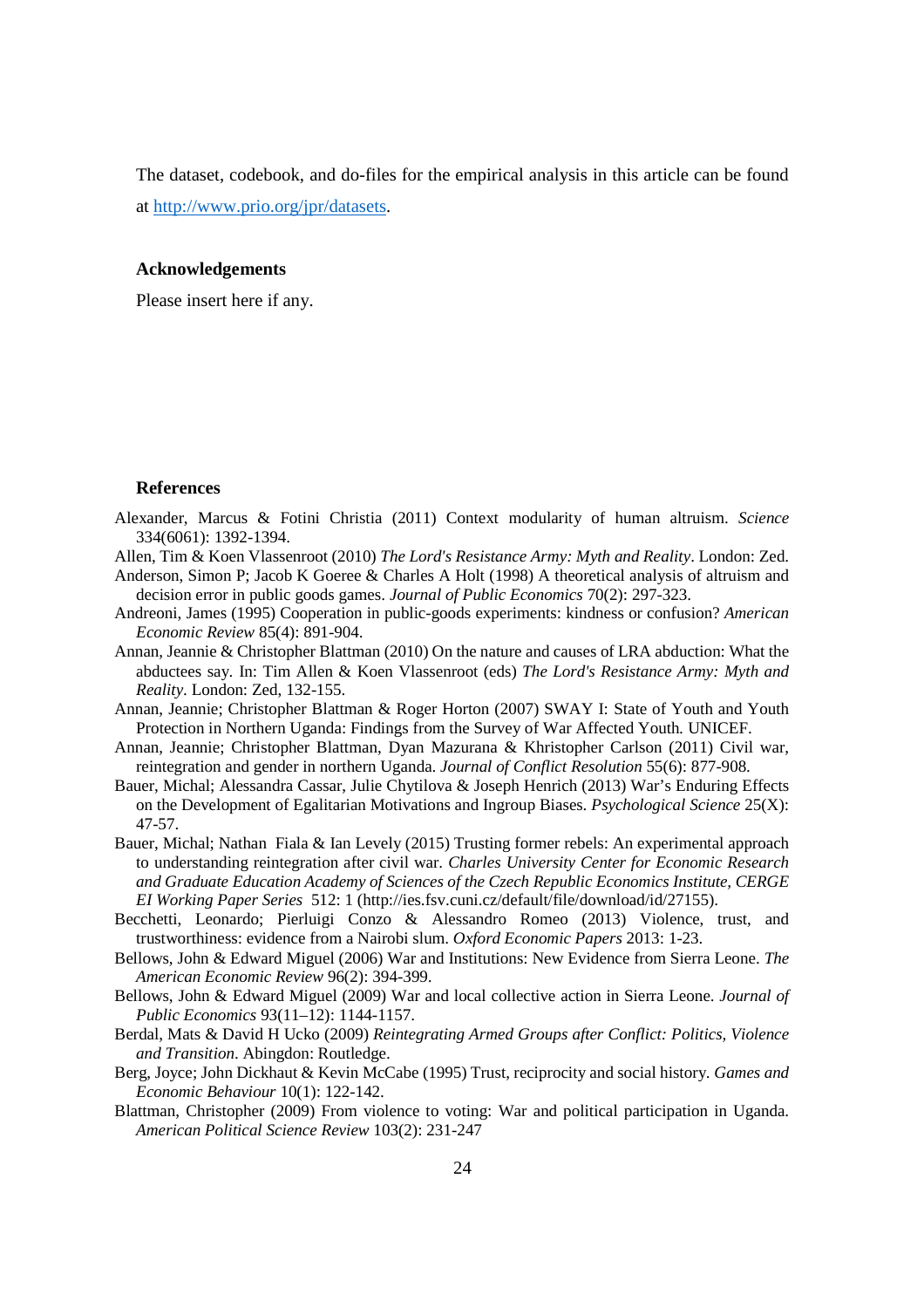The dataset, codebook, and do-files for the empirical analysis in this article can be found at http://www.prio.org/jpr/datasets.

#### **Acknowledgements**

Please insert here if any.

#### **References**

- Alexander, Marcus & Fotini Christia (2011) Context modularity of human altruism. *Science* 334(6061): 1392-1394.
- Allen, Tim & Koen Vlassenroot (2010) *The Lord's Resistance Army: Myth and Reality*. London: Zed.
- Anderson, Simon P; Jacob K Goeree & Charles A Holt (1998) A theoretical analysis of altruism and decision error in public goods games. *Journal of Public Economics* 70(2): 297-323.
- Andreoni, James (1995) Cooperation in public-goods experiments: kindness or confusion? *American Economic Review* 85(4): 891-904.
- Annan, Jeannie & Christopher Blattman (2010) On the nature and causes of LRA abduction: What the abductees say. In: Tim Allen & Koen Vlassenroot (eds) *The Lord's Resistance Army: Myth and Reality*. London: Zed, 132-155.
- Annan, Jeannie; Christopher Blattman & Roger Horton (2007) SWAY I: State of Youth and Youth Protection in Northern Uganda: Findings from the Survey of War Affected Youth*.* UNICEF.
- Annan, Jeannie; Christopher Blattman, Dyan Mazurana & Khristopher Carlson (2011) Civil war, reintegration and gender in northern Uganda. *Journal of Conflict Resolution* 55(6): 877-908.
- Bauer, Michal; Alessandra Cassar, Julie Chytilova & Joseph Henrich (2013) War's Enduring Effects on the Development of Egalitarian Motivations and Ingroup Biases. *Psychological Science* 25(X): 47-57.
- Bauer, Michal; Nathan Fiala & Ian Levely (2015) Trusting former rebels: An experimental approach to understanding reintegration after civil war. *Charles University Center for Economic Research and Graduate Education Academy of Sciences of the Czech Republic Economics Institute, CERGE EI Working Paper Series* 512: 1 (http://ies.fsv.cuni.cz/default/file/download/id/27155).
- Becchetti, Leonardo; Pierluigi Conzo & Alessandro Romeo (2013) Violence, trust, and trustworthiness: evidence from a Nairobi slum. *Oxford Economic Papers* 2013: 1-23.
- Bellows, John & Edward Miguel (2006) War and Institutions: New Evidence from Sierra Leone. *The American Economic Review* 96(2): 394-399.
- Bellows, John & Edward Miguel (2009) War and local collective action in Sierra Leone. *Journal of Public Economics* 93(11–12): 1144-1157.
- Berdal, Mats & David H Ucko (2009) *Reintegrating Armed Groups after Conflict: Politics, Violence and Transition*. Abingdon: Routledge.
- Berg, Joyce; John Dickhaut & Kevin McCabe (1995) Trust, reciprocity and social history. *Games and Economic Behaviour* 10(1): 122-142.
- Blattman, Christopher (2009) From violence to voting: War and political participation in Uganda. *American Political Science Review* 103(2): 231-247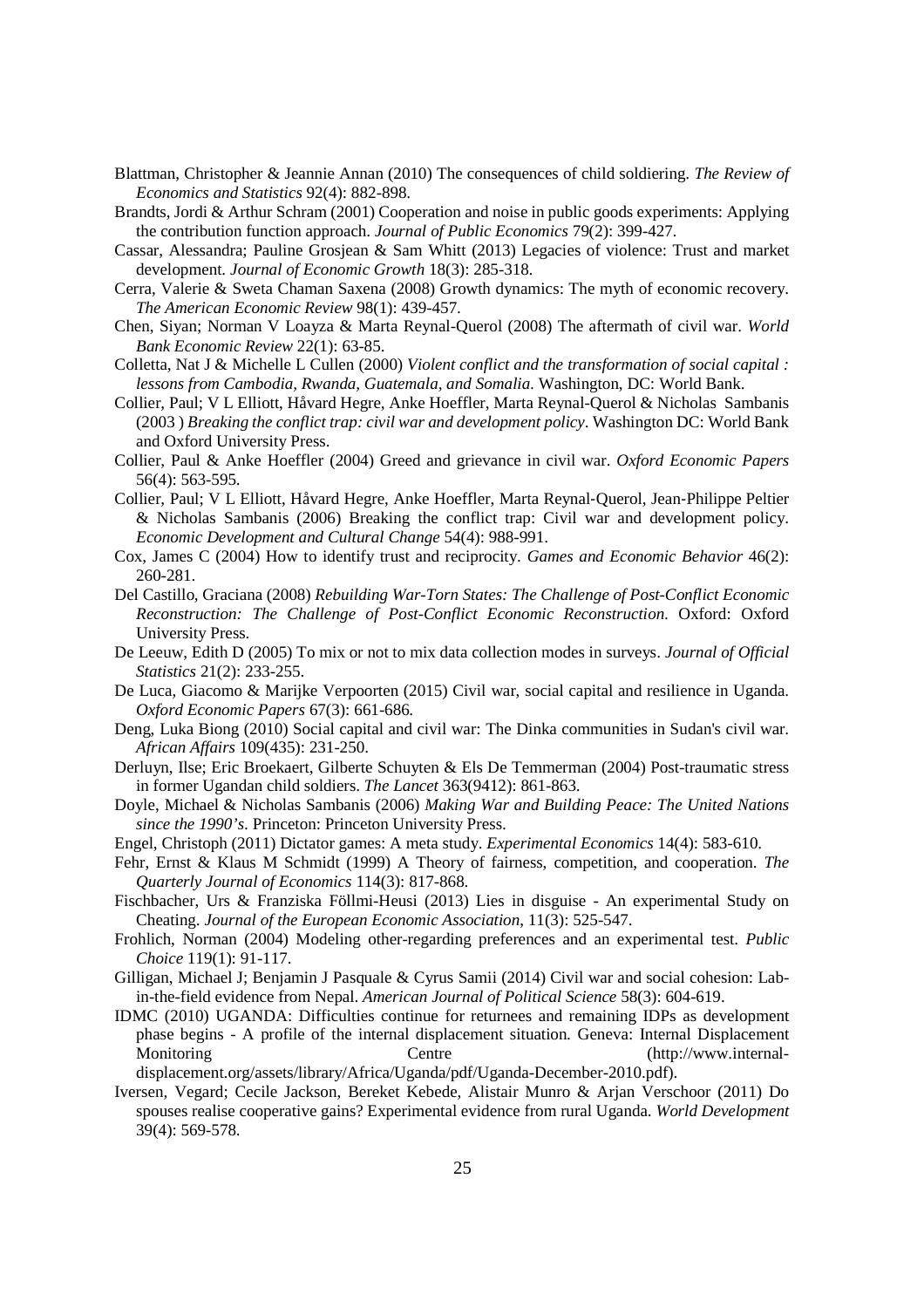- Blattman, Christopher & Jeannie Annan (2010) The consequences of child soldiering. *The Review of Economics and Statistics* 92(4): 882-898.
- Brandts, Jordi & Arthur Schram (2001) Cooperation and noise in public goods experiments: Applying the contribution function approach. *Journal of Public Economics* 79(2): 399-427.
- Cassar, Alessandra; Pauline Grosjean & Sam Whitt (2013) Legacies of violence: Trust and market development. *Journal of Economic Growth* 18(3): 285-318.
- Cerra, Valerie & Sweta Chaman Saxena (2008) Growth dynamics: The myth of economic recovery. *The American Economic Review* 98(1): 439-457.
- Chen, Siyan; Norman V Loayza & Marta Reynal-Querol (2008) The aftermath of civil war. *World Bank Economic Review* 22(1): 63-85.
- Colletta, Nat J & Michelle L Cullen (2000) *Violent conflict and the transformation of social capital : lessons from Cambodia, Rwanda, Guatemala, and Somalia*. Washington, DC: World Bank.
- Collier, Paul; V L Elliott, Håvard Hegre, Anke Hoeffler, Marta Reynal-Querol & Nicholas Sambanis (2003 ) *Breaking the conflict trap: civil war and development policy*. Washington DC: World Bank and Oxford University Press.
- Collier, Paul & Anke Hoeffler (2004) Greed and grievance in civil war. *Oxford Economic Papers* 56(4): 563-595.
- Collier, Paul; V L Elliott, Håvard Hegre, Anke Hoeffler, Marta Reynal‐Querol, Jean‐Philippe Peltier & Nicholas Sambanis (2006) Breaking the conflict trap: Civil war and development policy. *Economic Development and Cultural Change* 54(4): 988-991.
- Cox, James C (2004) How to identify trust and reciprocity. *Games and Economic Behavior* 46(2): 260-281.
- Del Castillo, Graciana (2008) *Rebuilding War-Torn States: The Challenge of Post-Conflict Economic Reconstruction: The Challenge of Post-Conflict Economic Reconstruction*. Oxford: Oxford University Press.
- De Leeuw, Edith D (2005) To mix or not to mix data collection modes in surveys. *Journal of Official Statistics* 21(2): 233-255.
- De Luca, Giacomo & Marijke Verpoorten (2015) Civil war, social capital and resilience in Uganda. *Oxford Economic Papers* 67(3): 661-686*.*
- Deng, Luka Biong (2010) Social capital and civil war: The Dinka communities in Sudan's civil war. *African Affairs* 109(435): 231-250.
- Derluyn, Ilse; Eric Broekaert, Gilberte Schuyten & Els De Temmerman (2004) Post-traumatic stress in former Ugandan child soldiers. *The Lancet* 363(9412): 861-863.
- Doyle, Michael & Nicholas Sambanis (2006) *Making War and Building Peace: The United Nations since the 1990's*. Princeton: Princeton University Press.
- Engel, Christoph (2011) Dictator games: A meta study. *Experimental Economics* 14(4): 583-610.
- Fehr, Ernst & Klaus M Schmidt (1999) A Theory of fairness, competition, and cooperation. *The Quarterly Journal of Economics* 114(3): 817-868.
- Fischbacher, Urs & Franziska Föllmi-Heusi (2013) Lies in disguise An experimental Study on Cheating. *Journal of the European Economic Association*, 11(3): 525-547.
- Frohlich, Norman (2004) Modeling other-regarding preferences and an experimental test. *Public Choice* 119(1): 91-117.
- Gilligan, Michael J; Benjamin J Pasquale & Cyrus Samii (2014) Civil war and social cohesion: Labin-the-field evidence from Nepal. *American Journal of Political Science* 58(3): 604-619.
- IDMC (2010) UGANDA: Difficulties continue for returnees and remaining IDPs as development phase begins - A profile of the internal displacement situation*.* Geneva: Internal Displacement Monitoring Centre (http://www.internaldisplacement.org/assets/library/Africa/Uganda/pdf/Uganda-December-2010.pdf).
- Iversen, Vegard; Cecile Jackson, Bereket Kebede, Alistair Munro & Arjan Verschoor (2011) Do spouses realise cooperative gains? Experimental evidence from rural Uganda. *World Development* 39(4): 569-578.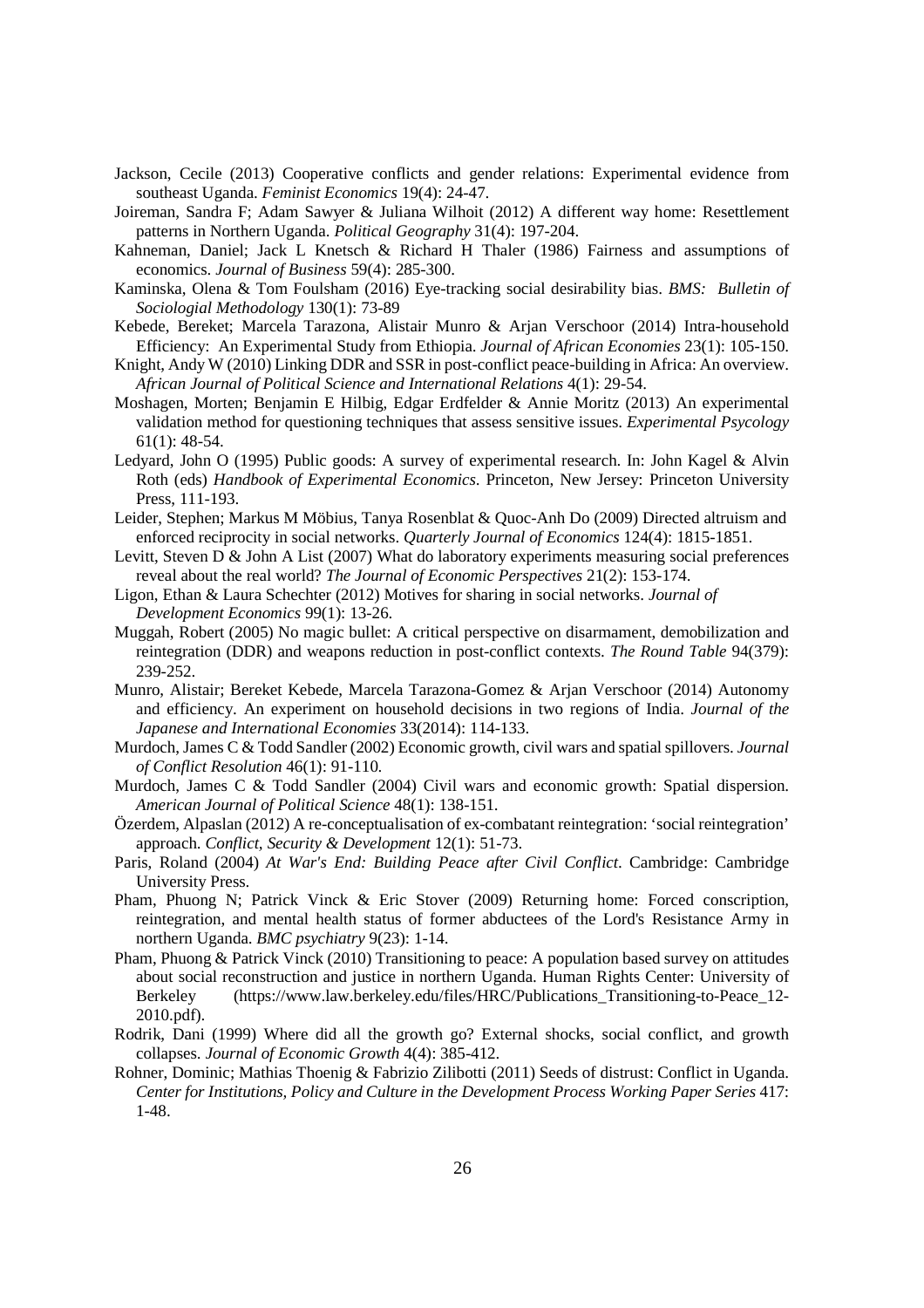- Jackson, Cecile (2013) Cooperative conflicts and gender relations: Experimental evidence from southeast Uganda. *Feminist Economics* 19(4): 24-47.
- Joireman, Sandra F; Adam Sawyer & Juliana Wilhoit (2012) A different way home: Resettlement patterns in Northern Uganda. *Political Geography* 31(4): 197-204.
- Kahneman, Daniel; Jack L Knetsch & Richard H Thaler (1986) Fairness and assumptions of economics. *Journal of Business* 59(4): 285-300.
- Kaminska, Olena & Tom Foulsham (2016) Eye-tracking social desirability bias. *BMS: Bulletin of Sociologial Methodology* 130(1): 73-89
- Kebede, Bereket; Marcela Tarazona, Alistair Munro & Arjan Verschoor (2014) Intra-household Efficiency: An Experimental Study from Ethiopia. *Journal of African Economies* 23(1): 105-150.
- Knight, Andy W (2010) Linking DDR and SSR in post-conflict peace-building in Africa: An overview. *African Journal of Political Science and International Relations* 4(1): 29-54.
- Moshagen, Morten; Benjamin E Hilbig, Edgar Erdfelder & Annie Moritz (2013) An experimental validation method for questioning techniques that assess sensitive issues. *Experimental Psycology* 61(1): 48-54.
- Ledyard, John O (1995) Public goods: A survey of experimental research. In: John Kagel & Alvin Roth (eds) *Handbook of Experimental Economics*. Princeton, New Jersey: Princeton University Press, 111-193.
- Leider, Stephen; Markus M Möbius, Tanya Rosenblat & Quoc-Anh Do (2009) Directed altruism and enforced reciprocity in social networks. *Quarterly Journal of Economics* 124(4): 1815-1851.
- Levitt, Steven  $D \&$  John A List (2007) What do laboratory experiments measuring social preferences reveal about the real world? *The Journal of Economic Perspectives* 21(2): 153-174.
- Ligon, Ethan & Laura Schechter (2012) Motives for sharing in social networks. *Journal of Development Economics* 99(1): 13-26.
- Muggah, Robert (2005) No magic bullet: A critical perspective on disarmament, demobilization and reintegration (DDR) and weapons reduction in post-conflict contexts. *The Round Table* 94(379): 239-252.
- Munro, Alistair; Bereket Kebede, Marcela Tarazona-Gomez & Arjan Verschoor (2014) Autonomy and efficiency. An experiment on household decisions in two regions of India. *Journal of the Japanese and International Economies* 33(2014): 114-133.
- Murdoch, James C & Todd Sandler (2002) Economic growth, civil wars and spatial spillovers. *Journal of Conflict Resolution* 46(1): 91-110.
- Murdoch, James C & Todd Sandler (2004) Civil wars and economic growth: Spatial dispersion. *American Journal of Political Science* 48(1): 138-151.
- Özerdem, Alpaslan (2012) A re-conceptualisation of ex-combatant reintegration: 'social reintegration' approach. *Conflict, Security & Development* 12(1): 51-73.
- Paris, Roland (2004) *At War's End: Building Peace after Civil Conflict*. Cambridge: Cambridge University Press.
- Pham, Phuong N; Patrick Vinck & Eric Stover (2009) Returning home: Forced conscription, reintegration, and mental health status of former abductees of the Lord's Resistance Army in northern Uganda. *BMC psychiatry* 9(23): 1-14.
- Pham, Phuong & Patrick Vinck (2010) Transitioning to peace: A population based survey on attitudes about social reconstruction and justice in northern Uganda. Human Rights Center: University of Berkeley (https://www.law.berkeley.edu/files/HRC/Publications\_Transitioning-to-Peace\_12- 2010.pdf).
- Rodrik, Dani (1999) Where did all the growth go? External shocks, social conflict, and growth collapses. *Journal of Economic Growth* 4(4): 385-412.
- Rohner, Dominic; Mathias Thoenig & Fabrizio Zilibotti (2011) Seeds of distrust: Conflict in Uganda. *Center for Institutions, Policy and Culture in the Development Process Working Paper Series* 417: 1-48.